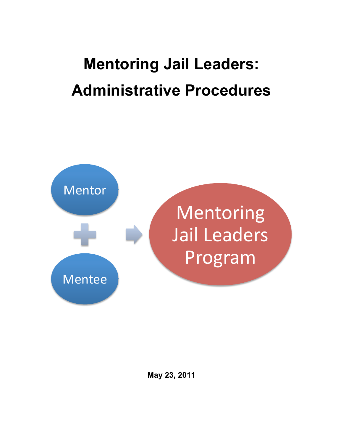# **Mentoring Jail Leaders: Administrative Procedures**

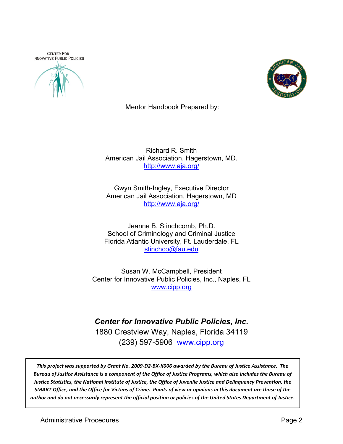**CENTER FOR INNOVATIVE PUBLIC POLICIES** 





Mentor Handbook Prepared by:

Richard R. Smith American Jail Association, Hagerstown, MD. http://www.aja.org/

Gwyn Smith-Ingley, Executive Director American Jail Association, Hagerstown, MD http://www.aja.org/

Jeanne B. Stinchcomb, Ph.D. School of Criminology and Criminal Justice Florida Atlantic University, Ft. Lauderdale, FL stinchco@fau.edu

Susan W. McCampbell, President Center for Innovative Public Policies, Inc., Naples, FL www.cipp.org

*Center for Innovative Public Policies, Inc.* 1880 Crestview Way, Naples, Florida 34119 (239) 597-5906 www.cipp.org

This project was supported by Grant No. 2009-D2-BX-K006 awarded by the Bureau of Justice Assistance. The Bureau of Justice Assistance is a component of the Office of Justice Programs, which also includes the Bureau of Justice Statistics, the National Institute of Justice, the Office of Juvenile Justice and Delinquency Prevention, the *SMART Office, and the Office for Victims of Crime. Points of view or opinions in this document are those of the author%and%do%not%necessarily%represent%the%official%position%or%policies%of%the%United%States Department%of%Justice.*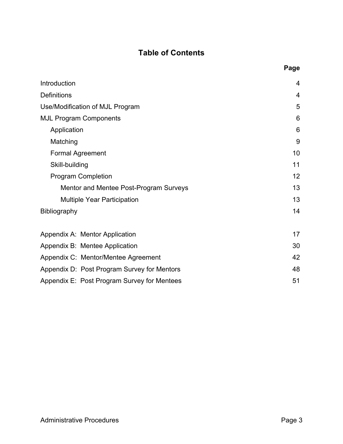# **Table of Contents**

|                                             | Page |
|---------------------------------------------|------|
| Introduction                                | 4    |
| Definitions                                 | 4    |
| Use/Modification of MJL Program             | 5    |
| <b>MJL Program Components</b>               | 6    |
| Application                                 | 6    |
| Matching                                    | 9    |
| <b>Formal Agreement</b>                     | 10   |
| Skill-building                              | 11   |
| <b>Program Completion</b>                   | 12   |
| Mentor and Mentee Post-Program Surveys      | 13   |
| <b>Multiple Year Participation</b>          | 13   |
| <b>Bibliography</b>                         | 14   |
| Appendix A: Mentor Application              | 17   |
| Appendix B: Mentee Application              | 30   |
| Appendix C: Mentor/Mentee Agreement         | 42   |
| Appendix D: Post Program Survey for Mentors | 48   |
| Appendix E: Post Program Survey for Mentees | 51   |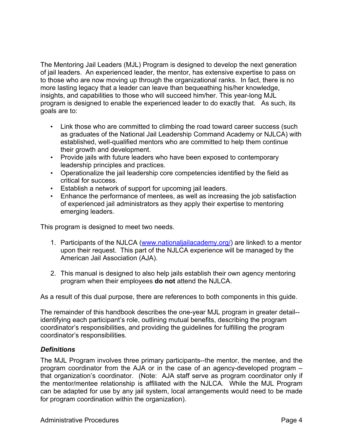The Mentoring Jail Leaders (MJL) Program is designed to develop the next generation of jail leaders. An experienced leader, the mentor, has extensive expertise to pass on to those who are now moving up through the organizational ranks. In fact, there is no more lasting legacy that a leader can leave than bequeathing his/her knowledge, insights, and capabilities to those who will succeed him/her. This year-long MJL program is designed to enable the experienced leader to do exactly that. As such, its goals are to:

- Link those who are committed to climbing the road toward career success (such as graduates of the National Jail Leadership Command Academy or NJLCA) with established, well-qualified mentors who are committed to help them continue their growth and development.
- Provide jails with future leaders who have been exposed to contemporary leadership principles and practices.
- Operationalize the jail leadership core competencies identified by the field as critical for success.
- Establish a network of support for upcoming jail leaders.
- Enhance the performance of mentees, as well as increasing the job satisfaction of experienced jail administrators as they apply their expertise to mentoring emerging leaders.

This program is designed to meet two needs.

- 1. Participants of the NJLCA (www.nationaljailacademy.org/) are linked\ to a mentor upon their request. This part of the NJLCA experience will be managed by the American Jail Association (AJA).
- 2. This manual is designed to also help jails establish their own agency mentoring program when their employees **do not** attend the NJLCA.

As a result of this dual purpose, there are references to both components in this guide.

The remainder of this handbook describes the one-year MJL program in greater detail- identifying each participant's role, outlining mutual benefits, describing the program coordinator's responsibilities, and providing the guidelines for fulfilling the program coordinator's responsibilities.

# *Definitions*

The MJL Program involves three primary participants--the mentor, the mentee, and the program coordinator from the AJA or in the case of an agency-developed program – that organization's coordinator. (Note: AJA staff serve as program coordinator only if the mentor/mentee relationship is affiliated with the NJLCA. While the MJL Program can be adapted for use by any jail system, local arrangements would need to be made for program coordination within the organization).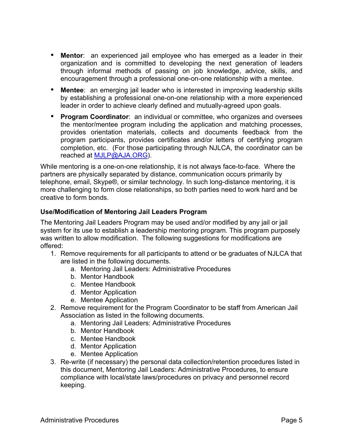- **Mentor**: an experienced jail employee who has emerged as a leader in their organization and is committed to developing the next generation of leaders through informal methods of passing on job knowledge, advice, skills, and encouragement through a professional one-on-one relationship with a mentee.
- **Mentee**: an emerging jail leader who is interested in improving leadership skills by establishing a professional one-on-one relationship with a more experienced leader in order to achieve clearly defined and mutually-agreed upon goals.
- **Program Coordinator**: an individual or committee, who organizes and oversees the mentor/mentee program including the application and matching processes, provides orientation materials, collects and documents feedback from the program participants, provides certificates and/or letters of certifying program completion, etc. (For those participating through NJLCA, the coordinator can be reached at MJLP@AJA.ORG).

While mentoring is a one-on-one relationship, it is not always face-to-face. Where the partners are physically separated by distance, communication occurs primarily by telephone, email, Skype®, or similar technology. In such long-distance mentoring, it is more challenging to form close relationships, so both parties need to work hard and be creative to form bonds.

## **Use/Modification of Mentoring Jail Leaders Program**

The Mentoring Jail Leaders Program may be used and/or modified by any jail or jail system for its use to establish a leadership mentoring program. This program purposely was written to allow modification. The following suggestions for modifications are offered:

- 1. Remove requirements for all participants to attend or be graduates of NJLCA that are listed in the following documents.
	- a. Mentoring Jail Leaders: Administrative Procedures
	- b. Mentor Handbook
	- c. Mentee Handbook
	- d. Mentor Application
	- e. Mentee Application
- 2. Remove requirement for the Program Coordinator to be staff from American Jail Association as listed in the following documents.
	- a. Mentoring Jail Leaders: Administrative Procedures
	- b. Mentor Handbook
	- c. Mentee Handbook
	- d. Mentor Application
	- e. Mentee Application
- 3. Re-write (if necessary) the personal data collection/retention procedures listed in this document, Mentoring Jail Leaders: Administrative Procedures, to ensure compliance with local/state laws/procedures on privacy and personnel record keeping.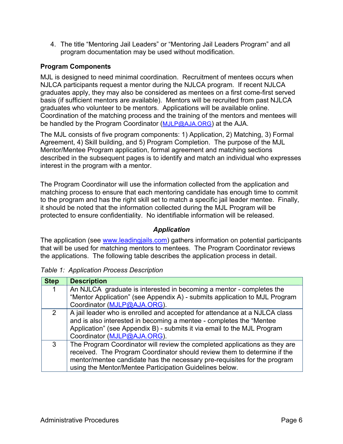4. The title "Mentoring Jail Leaders" or "Mentoring Jail Leaders Program" and all program documentation may be used without modification.

# **Program Components**

MJL is designed to need minimal coordination. Recruitment of mentees occurs when NJLCA participants request a mentor during the NJLCA program. If recent NJLCA graduates apply, they may also be considered as mentees on a first come-first served basis (if sufficient mentors are available). Mentors will be recruited from past NJLCA graduates who volunteer to be mentors. Applications will be available online. Coordination of the matching process and the training of the mentors and mentees will be handled by the Program Coordinator (MJLP@AJA.ORG) at the AJA.

The MJL consists of five program components: 1) Application, 2) Matching, 3) Formal Agreement, 4) Skill building, and 5) Program Completion. The purpose of the MJL Mentor/Mentee Program application, formal agreement and matching sections described in the subsequent pages is to identify and match an individual who expresses interest in the program with a mentor.

The Program Coordinator will use the information collected from the application and matching process to ensure that each mentoring candidate has enough time to commit to the program and has the right skill set to match a specific jail leader mentee. Finally, it should be noted that the information collected during the MJL Program will be protected to ensure confidentiality. No identifiable information will be released.

# *Application*

The application (see www.leadingiails.com) gathers information on potential participants that will be used for matching mentors to mentees. The Program Coordinator reviews the applications. The following table describes the application process in detail.

| <b>Step</b>    | <b>Description</b>                                                         |  |  |  |  |
|----------------|----------------------------------------------------------------------------|--|--|--|--|
|                | An NJLCA graduate is interested in becoming a mentor - completes the       |  |  |  |  |
|                | "Mentor Application" (see Appendix A) - submits application to MJL Program |  |  |  |  |
|                | Coordinator (MJLP@AJA.ORG).                                                |  |  |  |  |
| $\overline{2}$ | A jail leader who is enrolled and accepted for attendance at a NJLCA class |  |  |  |  |
|                | and is also interested in becoming a mentee - completes the "Mentee"       |  |  |  |  |
|                | Application" (see Appendix B) - submits it via email to the MJL Program    |  |  |  |  |
|                | Coordinator (MJLP@AJA.ORG).                                                |  |  |  |  |
| 3              | The Program Coordinator will review the completed applications as they are |  |  |  |  |
|                | received. The Program Coordinator should review them to determine if the   |  |  |  |  |
|                | mentor/mentee candidate has the necessary pre-requisites for the program   |  |  |  |  |
|                | using the Mentor/Mentee Participation Guidelines below.                    |  |  |  |  |

*Table 1: Application Process Description*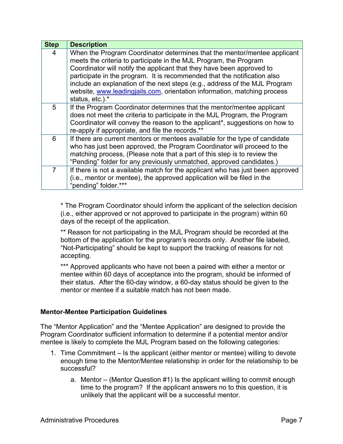| <b>Step</b> | <b>Description</b>                                                                                                                                                                                                                                                                                                                                                                                                                                                              |
|-------------|---------------------------------------------------------------------------------------------------------------------------------------------------------------------------------------------------------------------------------------------------------------------------------------------------------------------------------------------------------------------------------------------------------------------------------------------------------------------------------|
| 4           | When the Program Coordinator determines that the mentor/mentee applicant<br>meets the criteria to participate in the MJL Program, the Program<br>Coordinator will notify the applicant that they have been approved to<br>participate in the program. It is recommended that the notification also<br>include an explanation of the next steps (e.g., address of the MJL Program<br>website, www.leadingjails.com, orientation information, matching process<br>status, etc.).* |
| 5           | If the Program Coordinator determines that the mentor/mentee applicant<br>does not meet the criteria to participate in the MJL Program, the Program<br>Coordinator will convey the reason to the applicant*, suggestions on how to<br>re-apply if appropriate, and file the records.**                                                                                                                                                                                          |
| 6           | If there are current mentors or mentees available for the type of candidate<br>who has just been approved, the Program Coordinator will proceed to the<br>matching process, (Please note that a part of this step is to review the<br>"Pending" folder for any previously unmatched, approved candidates.)                                                                                                                                                                      |
|             | If there is not a available match for the applicant who has just been approved<br>(i.e., mentor or mentee), the approved application will be filed in the<br>"pending" folder.***                                                                                                                                                                                                                                                                                               |

\* The Program Coordinator should inform the applicant of the selection decision (i.e., either approved or not approved to participate in the program) within 60 days of the receipt of the application.

\*\* Reason for not participating in the MJL Program should be recorded at the bottom of the application for the program's records only. Another file labeled, "Not-Participating" should be kept to support the tracking of reasons for not accepting.

\*\*\* Approved applicants who have not been a paired with either a mentor or mentee within 60 days of acceptance into the program, should be informed of their status. After the 60-day window, a 60-day status should be given to the mentor or mentee if a suitable match has not been made.

#### **Mentor-Mentee Participation Guidelines**

The "Mentor Application" and the "Mentee Application" are designed to provide the Program Coordinator sufficient information to determine if a potential mentor and/or mentee is likely to complete the MJL Program based on the following categories:

- 1. Time Commitment Is the applicant (either mentor or mentee) willing to devote enough time to the Mentor/Mentee relationship in order for the relationship to be successful?
	- a. Mentor (Mentor Question #1) Is the applicant willing to commit enough time to the program? If the applicant answers no to this question, it is unlikely that the applicant will be a successful mentor.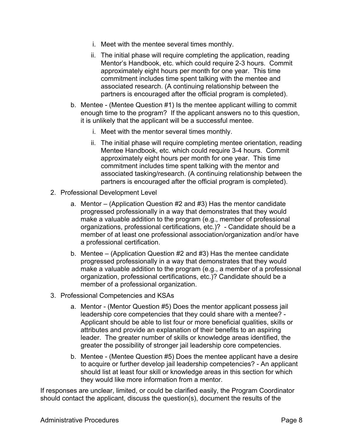- i. Meet with the mentee several times monthly.
- ii. The initial phase will require completing the application, reading Mentor's Handbook, etc. which could require 2-3 hours. Commit approximately eight hours per month for one year. This time commitment includes time spent talking with the mentee and associated research. (A continuing relationship between the partners is encouraged after the official program is completed).
- b. Mentee (Mentee Question #1) Is the mentee applicant willing to commit enough time to the program? If the applicant answers no to this question, it is unlikely that the applicant will be a successful mentee.
	- i. Meet with the mentor several times monthly.
	- ii. The initial phase will require completing mentee orientation, reading Mentee Handbook, etc. which could require 3-4 hours. Commit approximately eight hours per month for one year. This time commitment includes time spent talking with the mentor and associated tasking/research. (A continuing relationship between the partners is encouraged after the official program is completed).
- 2. Professional Development Level
	- a. Mentor (Application Question #2 and #3) Has the mentor candidate progressed professionally in a way that demonstrates that they would make a valuable addition to the program (e.g., member of professional organizations, professional certifications, etc.)? - Candidate should be a member of at least one professional association/organization and/or have a professional certification.
	- b. Mentee (Application Question #2 and #3) Has the mentee candidate progressed professionally in a way that demonstrates that they would make a valuable addition to the program (e.g., a member of a professional organization, professional certifications, etc.)? Candidate should be a member of a professional organization.
- 3. Professional Competencies and KSAs
	- a. Mentor (Mentor Question #5) Does the mentor applicant possess jail leadership core competencies that they could share with a mentee? - Applicant should be able to list four or more beneficial qualities, skills or attributes and provide an explanation of their benefits to an aspiring leader. The greater number of skills or knowledge areas identified, the greater the possibility of stronger jail leadership core competencies.
	- b. Mentee (Mentee Question #5) Does the mentee applicant have a desire to acquire or further develop jail leadership competencies? - An applicant should list at least four skill or knowledge areas in this section for which they would like more information from a mentor.

If responses are unclear, limited, or could be clarified easily, the Program Coordinator should contact the applicant, discuss the question(s), document the results of the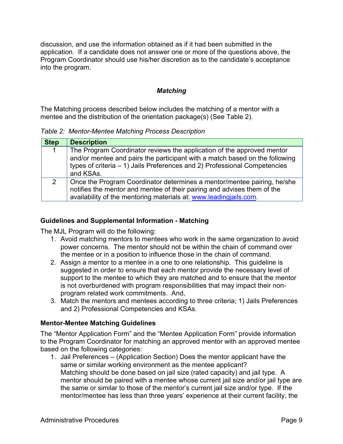discussion, and use the information obtained as if it had been submitted in the application. If a candidate does not answer one or more of the questions above, the Program Coordinator should use his/her discretion as to the candidate's acceptance into the program.

## *Matching*

The Matching process described below includes the matching of a mentor with a mentee and the distribution of the orientation package(s) (See Table 2).

*Table 2: Mentor-Mentee Matching Process Description*

| <b>Step</b>    | <b>Description</b>                                                                                                                                                                                                                              |
|----------------|-------------------------------------------------------------------------------------------------------------------------------------------------------------------------------------------------------------------------------------------------|
| 1              | The Program Coordinator reviews the application of the approved mentor<br>and/or mentee and pairs the participant with a match based on the following<br>types of criteria – 1) Jails Preferences and 2) Professional Competencies<br>and KSAs. |
| $\overline{2}$ | Once the Program Coordinator determines a mentor/mentee pairing, he/she<br>notifies the mentor and mentee of their pairing and advises them of the<br>availability of the mentoring materials at: www.leadingjails.com.                         |

#### **Guidelines and Supplemental Information - Matching**

The MJL Program will do the following:

- 1. Avoid matching mentors to mentees who work in the same organization to avoid power concerns. The mentor should not be within the chain of command over the mentee or in a position to influence those in the chain of command.
- 2. Assign a mentor to a mentee in a one to one relationship. This guideline is suggested in order to ensure that each mentor provide the necessary level of support to the mentee to which they are matched and to ensure that the mentor is not overburdened with program responsibilities that may impact their nonprogram related work commitments. And,
- 3. Match the mentors and mentees according to three criteria; 1) Jails Preferences and 2) Professional Competencies and KSAs.

#### **Mentor-Mentee Matching Guidelines**

The "Mentor Application Form" and the "Mentee Application Form" provide information to the Program Coordinator for matching an approved mentor with an approved mentee based on the following categories:

1. Jail Preferences – (Application Section) Does the mentor applicant have the same or similar working environment as the mentee applicant? Matching should be done based on jail size (rated capacity) and jail type. A mentor should be paired with a mentee whose current jail size and/or jail type are the same or similar to those of the mentor's current jail size and/or type. If the mentor/mentee has less than three years' experience at their current facility, the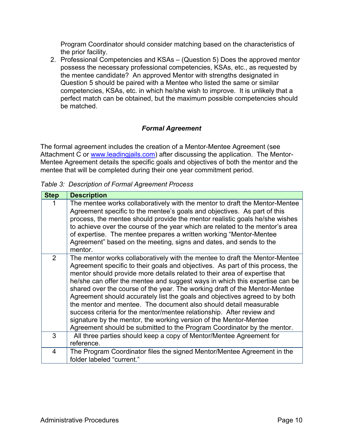Program Coordinator should consider matching based on the characteristics of the prior facility.

2. Professional Competencies and KSAs – (Question 5) Does the approved mentor possess the necessary professional competencies, KSAs, etc., as requested by the mentee candidate? An approved Mentor with strengths designated in Question 5 should be paired with a Mentee who listed the same or similar competencies, KSAs, etc. in which he/she wish to improve. It is unlikely that a perfect match can be obtained, but the maximum possible competencies should be matched.

# *Formal Agreement*

The formal agreement includes the creation of a Mentor-Mentee Agreement (see Attachment C or www.leadingjails.com) after discussing the application. The Mentor-Mentee Agreement details the specific goals and objectives of both the mentor and the mentee that will be completed during their one year commitment period.

*Table 3: Description of Formal Agreement Process*

| <b>Step</b>    | <b>Description</b>                                                                                                                                                                                                                                                                                                                                                                                                                                                                                                                                                                                                                                                                                                                                                                    |
|----------------|---------------------------------------------------------------------------------------------------------------------------------------------------------------------------------------------------------------------------------------------------------------------------------------------------------------------------------------------------------------------------------------------------------------------------------------------------------------------------------------------------------------------------------------------------------------------------------------------------------------------------------------------------------------------------------------------------------------------------------------------------------------------------------------|
|                | The mentee works collaboratively with the mentor to draft the Mentor-Mentee<br>Agreement specific to the mentee's goals and objectives. As part of this<br>process, the mentee should provide the mentor realistic goals he/she wishes<br>to achieve over the course of the year which are related to the mentor's area<br>of expertise. The mentee prepares a written working "Mentor-Mentee"<br>Agreement" based on the meeting, signs and dates, and sends to the<br>mentor.                                                                                                                                                                                                                                                                                                       |
| $\overline{2}$ | The mentor works collaboratively with the mentee to draft the Mentor-Mentee<br>Agreement specific to their goals and objectives. As part of this process, the<br>mentor should provide more details related to their area of expertise that<br>he/she can offer the mentee and suggest ways in which this expertise can be<br>shared over the course of the year. The working draft of the Mentor-Mentee<br>Agreement should accurately list the goals and objectives agreed to by both<br>the mentor and mentee. The document also should detail measurable<br>success criteria for the mentor/mentee relationship. After review and<br>signature by the mentor, the working version of the Mentor-Mentee<br>Agreement should be submitted to the Program Coordinator by the mentor. |
| 3              | All three parties should keep a copy of Mentor/Mentee Agreement for<br>reference.                                                                                                                                                                                                                                                                                                                                                                                                                                                                                                                                                                                                                                                                                                     |
| 4              | The Program Coordinator files the signed Mentor/Mentee Agreement in the<br>folder labeled "current."                                                                                                                                                                                                                                                                                                                                                                                                                                                                                                                                                                                                                                                                                  |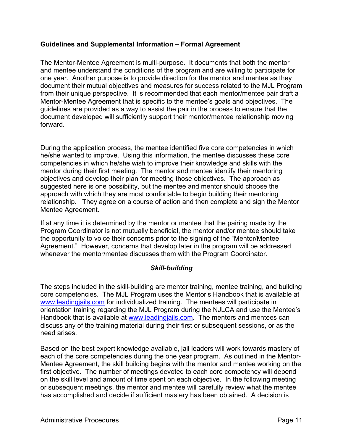## **Guidelines and Supplemental Information – Formal Agreement**

The Mentor-Mentee Agreement is multi-purpose. It documents that both the mentor and mentee understand the conditions of the program and are willing to participate for one year. Another purpose is to provide direction for the mentor and mentee as they document their mutual objectives and measures for success related to the MJL Program from their unique perspective. It is recommended that each mentor/mentee pair draft a Mentor-Mentee Agreement that is specific to the mentee's goals and objectives. The guidelines are provided as a way to assist the pair in the process to ensure that the document developed will sufficiently support their mentor/mentee relationship moving forward.

During the application process, the mentee identified five core competencies in which he/she wanted to improve. Using this information, the mentee discusses these core competencies in which he/she wish to improve their knowledge and skills with the mentor during their first meeting. The mentor and mentee identify their mentoring objectives and develop their plan for meeting those objectives. The approach as suggested here is one possibility, but the mentee and mentor should choose the approach with which they are most comfortable to begin building their mentoring relationship. They agree on a course of action and then complete and sign the Mentor Mentee Agreement.

If at any time it is determined by the mentor or mentee that the pairing made by the Program Coordinator is not mutually beneficial, the mentor and/or mentee should take the opportunity to voice their concerns prior to the signing of the "Mentor/Mentee Agreement." However, concerns that develop later in the program will be addressed whenever the mentor/mentee discusses them with the Program Coordinator.

# *Skill-building*

The steps included in the skill-building are mentor training, mentee training, and building core competencies. The MJL Program uses the Mentor's Handbook that is available at www.leadingiails.com for individualized training. The mentees will participate in orientation training regarding the MJL Program during the NJLCA and use the Mentee's Handbook that is available at www.leadingjails.com. The mentors and mentees can discuss any of the training material during their first or subsequent sessions, or as the need arises.

Based on the best expert knowledge available, jail leaders will work towards mastery of each of the core competencies during the one year program. As outlined in the Mentor-Mentee Agreement, the skill building begins with the mentor and mentee working on the first objective. The number of meetings devoted to each core competency will depend on the skill level and amount of time spent on each objective. In the following meeting or subsequent meetings, the mentor and mentee will carefully review what the mentee has accomplished and decide if sufficient mastery has been obtained. A decision is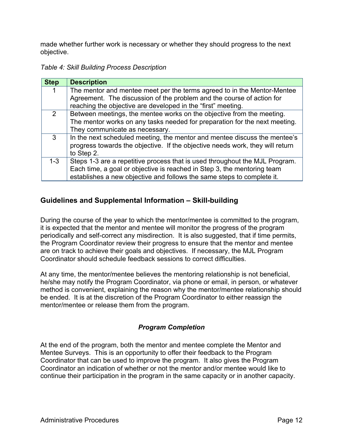made whether further work is necessary or whether they should progress to the next objective.

*Table 4: Skill Building Process Description*

| <b>Step</b> | <b>Description</b>                                                                                                                                                                                                               |
|-------------|----------------------------------------------------------------------------------------------------------------------------------------------------------------------------------------------------------------------------------|
| 1           | The mentor and mentee meet per the terms agreed to in the Mentor-Mentee<br>Agreement. The discussion of the problem and the course of action for                                                                                 |
|             | reaching the objective are developed in the "first" meeting.                                                                                                                                                                     |
| 2           | Between meetings, the mentee works on the objective from the meeting.<br>The mentor works on any tasks needed for preparation for the next meeting.<br>They communicate as necessary.                                            |
| 3           | In the next scheduled meeting, the mentor and mentee discuss the mentee's<br>progress towards the objective. If the objective needs work, they will return<br>to Step 2.                                                         |
| $1-3$       | Steps 1-3 are a repetitive process that is used throughout the MJL Program.<br>Each time, a goal or objective is reached in Step 3, the mentoring team<br>establishes a new objective and follows the same steps to complete it. |

# **Guidelines and Supplemental Information – Skill-building**

During the course of the year to which the mentor/mentee is committed to the program, it is expected that the mentor and mentee will monitor the progress of the program periodically and self-correct any misdirection. It is also suggested, that if time permits, the Program Coordinator review their progress to ensure that the mentor and mentee are on track to achieve their goals and objectives. If necessary, the MJL Program Coordinator should schedule feedback sessions to correct difficulties.

At any time, the mentor/mentee believes the mentoring relationship is not beneficial, he/she may notify the Program Coordinator, via phone or email, in person, or whatever method is convenient, explaining the reason why the mentor/mentee relationship should be ended. It is at the discretion of the Program Coordinator to either reassign the mentor/mentee or release them from the program.

# *Program Completion*

At the end of the program, both the mentor and mentee complete the Mentor and Mentee Surveys. This is an opportunity to offer their feedback to the Program Coordinator that can be used to improve the program. It also gives the Program Coordinator an indication of whether or not the mentor and/or mentee would like to continue their participation in the program in the same capacity or in another capacity.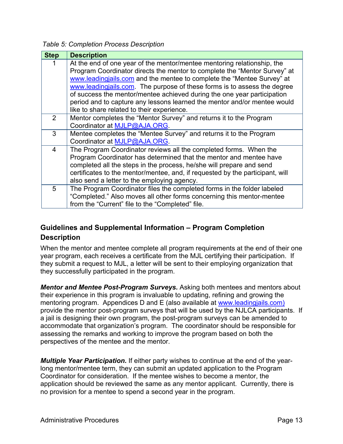*Table 5: Completion Process Description*

| <b>Step</b> | <b>Description</b>                                                                                                                                                                                                                                                                                                                                                                                                                                                                                              |
|-------------|-----------------------------------------------------------------------------------------------------------------------------------------------------------------------------------------------------------------------------------------------------------------------------------------------------------------------------------------------------------------------------------------------------------------------------------------------------------------------------------------------------------------|
|             | At the end of one year of the mentor/mentee mentoring relationship, the<br>Program Coordinator directs the mentor to complete the "Mentor Survey" at<br>www.leadingiails.com and the mentee to complete the "Mentee Survey" at<br>www.leadingjails.com. The purpose of these forms is to assess the degree<br>of success the mentor/mentee achieved during the one year participation<br>period and to capture any lessons learned the mentor and/or mentee would<br>like to share related to their experience. |
| 2           | Mentor completes the "Mentor Survey" and returns it to the Program<br>Coordinator at MJLP@AJA.ORG.                                                                                                                                                                                                                                                                                                                                                                                                              |
| 3           | Mentee completes the "Mentee Survey" and returns it to the Program<br>Coordinator at MJLP@AJA.ORG.                                                                                                                                                                                                                                                                                                                                                                                                              |
| 4           | The Program Coordinator reviews all the completed forms. When the<br>Program Coordinator has determined that the mentor and mentee have<br>completed all the steps in the process, he/she will prepare and send<br>certificates to the mentor/mentee, and, if requested by the participant, will<br>also send a letter to the employing agency.                                                                                                                                                                 |
| 5           | The Program Coordinator files the completed forms in the folder labeled<br>"Completed." Also moves all other forms concerning this mentor-mentee<br>from the "Current" file to the "Completed" file.                                                                                                                                                                                                                                                                                                            |

# **Guidelines and Supplemental Information – Program Completion Description**

When the mentor and mentee complete all program requirements at the end of their one year program, each receives a certificate from the MJL certifying their participation. If they submit a request to MJL, a letter will be sent to their employing organization that they successfully participated in the program.

*Mentor and Mentee Post-Program Surveys.* Asking both mentees and mentors about their experience in this program is invaluable to updating, refining and growing the mentoring program. Appendices D and E (also available at www.leadingjails.com) provide the mentor post-program surveys that will be used by the NJLCA participants. If a jail is designing their own program, the post-program surveys can be amended to accommodate that organization's program. The coordinator should be responsible for assessing the remarks and working to improve the program based on both the perspectives of the mentee and the mentor.

*Multiple Year Participation.* If either party wishes to continue at the end of the yearlong mentor/mentee term, they can submit an updated application to the Program Coordinator for consideration. If the mentee wishes to become a mentor, the application should be reviewed the same as any mentor applicant. Currently, there is no provision for a mentee to spend a second year in the program.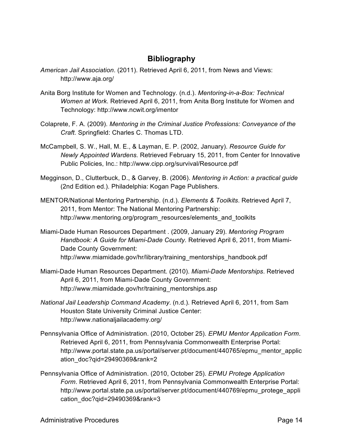# **Bibliography**

- *American Jail Association*. (2011). Retrieved April 6, 2011, from News and Views: http://www.aja.org/
- Anita Borg Institute for Women and Technology. (n.d.). *Mentoring-in-a-Box: Technical Women at Work*. Retrieved April 6, 2011, from Anita Borg Institute for Women and Technology: http://www.ncwit.org/imentor
- Colaprete, F. A. (2009). *Mentoring in the Criminal Justice Professions: Conveyance of the Craft.* Springfield: Charles C. Thomas LTD.
- McCampbell, S. W., Hall, M. E., & Layman, E. P. (2002, January). *Resource Guide for Newly Appointed Wardens.* Retrieved February 15, 2011, from Center for Innovative Public Policies, Inc.: http://www.cipp.org/survival/Resource.pdf
- Megginson, D., Clutterbuck, D., & Garvey, B. (2006). *Mentoring in Action: a practical guide* (2nd Edition ed.). Philadelphia: Kogan Page Publishers.
- MENTOR/National Mentoring Partnership. (n.d.). *Elements & Toolkits*. Retrieved April 7, 2011, from Mentor: The National Mentoring Partnership: http://www.mentoring.org/program\_resources/elements\_and\_toolkits
- Miami-Dade Human Resources Department . (2009, January 29). *Mentoring Program Handbook: A Guide for Miami-Dade County.* Retrieved April 6, 2011, from Miami-Dade County Government: http://www.miamidade.gov/hr/library/training\_mentorships\_handbook.pdf
- Miami-Dade Human Resources Department. (2010). *Miami-Dade Mentorships*. Retrieved April 6, 2011, from Miami-Dade County Government: http://www.miamidade.gov/hr/training\_mentorships.asp
- *National Jail Leadership Command Academy*. (n.d.). Retrieved April 6, 2011, from Sam Houston State University Criminal Justice Center: http://www.nationaljailacademy.org/
- Pennsylvania Office of Administration. (2010, October 25). *EPMU Mentor Application Form*. Retrieved April 6, 2011, from Pennsylvania Commonwealth Enterprise Portal: http://www.portal.state.pa.us/portal/server.pt/document/440765/epmu\_mentor\_applic ation\_doc?qid=29490369&rank=2
- Pennsylvania Office of Administration. (2010, October 25). *EPMU Protege Application Form*. Retrieved April 6, 2011, from Pennsylvania Commonwealth Enterprise Portal: http://www.portal.state.pa.us/portal/server.pt/document/440769/epmu\_protege\_appli cation\_doc?qid=29490369&rank=3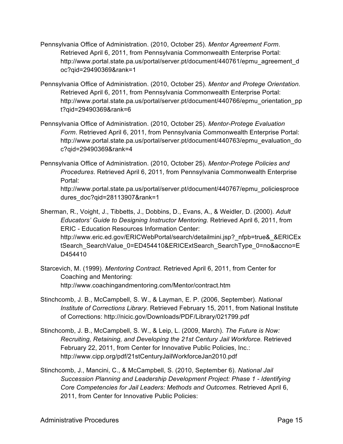- Pennsylvania Office of Administration. (2010, October 25). *Mentor Agreement Form*. Retrieved April 6, 2011, from Pennsylvania Commonwealth Enterprise Portal: http://www.portal.state.pa.us/portal/server.pt/document/440761/epmu\_agreement\_d oc?qid=29490369&rank=1
- Pennsylvania Office of Administration. (2010, October 25). *Mentor and Protege Orientation*. Retrieved April 6, 2011, from Pennsylvania Commonwealth Enterprise Portal: http://www.portal.state.pa.us/portal/server.pt/document/440766/epmu\_orientation\_pp t?qid=29490369&rank=6
- Pennsylvania Office of Administration. (2010, October 25). *Mentor-Protege Evaluation Form*. Retrieved April 6, 2011, from Pennsylvania Commonwealth Enterprise Portal: http://www.portal.state.pa.us/portal/server.pt/document/440763/epmu\_evaluation\_do c?qid=29490369&rank=4
- Pennsylvania Office of Administration. (2010, October 25). *Mentor-Protege Policies and Procedures*. Retrieved April 6, 2011, from Pennsylvania Commonwealth Enterprise Portal:

http://www.portal.state.pa.us/portal/server.pt/document/440767/epmu\_policiesproce dures\_doc?qid=28113907&rank=1

Sherman, R., Voight, J., Tibbetts, J., Dobbins, D., Evans, A., & Weidler, D. (2000). *Adult Educators' Guide to Designing Instructor Mentoring.* Retrieved April 6, 2011, from ERIC - Education Resources Information Center: http://www.eric.ed.gov/ERICWebPortal/search/detailmini.jsp?\_nfpb=true&\_&ERICEx tSearch\_SearchValue\_0=ED454410&ERICExtSearch\_SearchType\_0=no&accno=E D454410

- Starcevich, M. (1999). *Mentoring Contract*. Retrieved April 6, 2011, from Center for Coaching and Mentoring: http://www.coachingandmentoring.com/Mentor/contract.htm
- Stinchcomb, J. B., McCampbell, S. W., & Layman, E. P. (2006, September). *National Institute of Corrections Library.* Retrieved February 15, 2011, from National Institute of Corrections: http://nicic.gov/Downloads/PDF/Library/021799.pdf
- Stinchcomb, J. B., McCampbell, S. W., & Leip, L. (2009, March). *The Future is Now: Recruiting, Retaining, and Developing the 21st Century Jail Workforce.* Retrieved February 22, 2011, from Center for Innovative Public Policies, Inc.: http://www.cipp.org/pdf/21stCenturyJailWorkforceJan2010.pdf
- Stinchcomb, J., Mancini, C., & McCampbell, S. (2010, September 6). *National Jail Succession Planning and Leadership Development Project: Phase 1 - Identifying Core Competencies for Jail Leaders: Methods and Outcomes.* Retrieved April 6, 2011, from Center for Innovative Public Policies: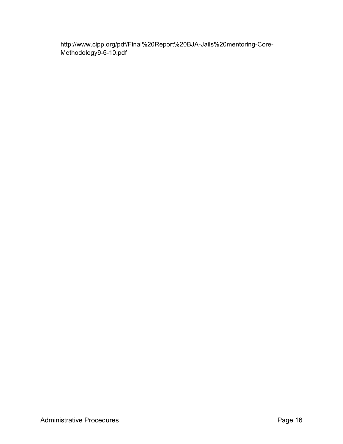http://www.cipp.org/pdf/Final%20Report%20BJA-Jails%20mentoring-Core-Methodology9-6-10.pdf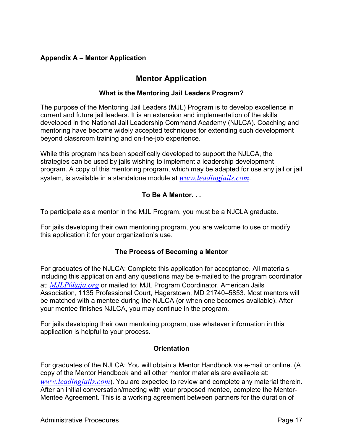# **Appendix A – Mentor Application**

# **Mentor Application**

# **What is the Mentoring Jail Leaders Program?**

The purpose of the Mentoring Jail Leaders (MJL) Program is to develop excellence in current and future jail leaders. It is an extension and implementation of the skills developed in the National Jail Leadership Command Academy (NJLCA). Coaching and mentoring have become widely accepted techniques for extending such development beyond classroom training and on-the-job experience.

While this program has been specifically developed to support the NJLCA, the strategies can be used by jails wishing to implement a leadership development program. A copy of this mentoring program, which may be adapted for use any jail or jail system, is available in a standalone module at *www.leadingjails.com*.

# **To Be A Mentor. . .**

To participate as a mentor in the MJL Program, you must be a NJCLA graduate.

For jails developing their own mentoring program, you are welcome to use or modify this application it for your organization's use.

# **The Process of Becoming a Mentor**

For graduates of the NJLCA: Complete this application for acceptance. All materials including this application and any questions may be e-mailed to the program coordinator at: *MJLP@aja.org* or mailed to: MJL Program Coordinator, American Jails Association, 1135 Professional Court, Hagerstown, MD 21740–5853. Most mentors will be matched with a mentee during the NJLCA (or when one becomes available). After your mentee finishes NJLCA, you may continue in the program.

For jails developing their own mentoring program, use whatever information in this application is helpful to your process.

# **Orientation**

For graduates of the NJLCA: You will obtain a Mentor Handbook via e-mail or online. (A copy of the Mentor Handbook and all other mentor materials are available at: *www.leadingjails.com*). You are expected to review and complete any material therein. After an initial conversation/meeting with your proposed mentee, complete the Mentor-Mentee Agreement. This is a working agreement between partners for the duration of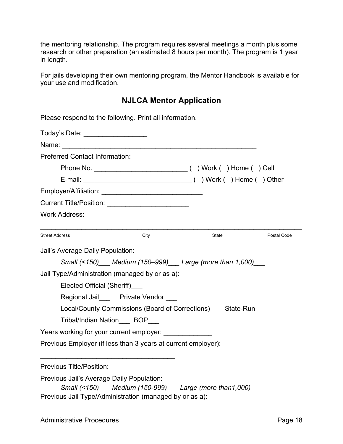the mentoring relationship. The program requires several meetings a month plus some research or other preparation (an estimated 8 hours per month). The program is 1 year in length.

For jails developing their own mentoring program, the Mentor Handbook is available for your use and modification.

# **NJLCA Mentor Application**

| Please respond to the following. Print all information.                                                          |      |                                                           |             |  |  |  |  |  |
|------------------------------------------------------------------------------------------------------------------|------|-----------------------------------------------------------|-------------|--|--|--|--|--|
| Today's Date: ___________________<br><b>Preferred Contact Information:</b>                                       |      |                                                           |             |  |  |  |  |  |
|                                                                                                                  |      |                                                           |             |  |  |  |  |  |
|                                                                                                                  |      |                                                           |             |  |  |  |  |  |
| Employer/Affiliation: Employer/Affiliation:                                                                      |      |                                                           |             |  |  |  |  |  |
|                                                                                                                  |      |                                                           |             |  |  |  |  |  |
| <b>Work Address:</b>                                                                                             |      |                                                           |             |  |  |  |  |  |
| <b>Street Address</b>                                                                                            | City | State                                                     | Postal Code |  |  |  |  |  |
| Jail's Average Daily Population:                                                                                 |      |                                                           |             |  |  |  |  |  |
|                                                                                                                  |      | Small (<150) Medium (150-999) Large (more than 1,000)     |             |  |  |  |  |  |
| Jail Type/Administration (managed by or as a):                                                                   |      |                                                           |             |  |  |  |  |  |
| Elected Official (Sheriff)                                                                                       |      |                                                           |             |  |  |  |  |  |
| Regional Jail Private Vendor                                                                                     |      |                                                           |             |  |  |  |  |  |
|                                                                                                                  |      | Local/County Commissions (Board of Corrections) State-Run |             |  |  |  |  |  |
| Tribal/Indian Nation BOP                                                                                         |      |                                                           |             |  |  |  |  |  |
| Years working for your current employer:                                                                         |      |                                                           |             |  |  |  |  |  |
| Previous Employer (if less than 3 years at current employer):                                                    |      |                                                           |             |  |  |  |  |  |
|                                                                                                                  |      |                                                           |             |  |  |  |  |  |
| Previous Jail's Average Daily Population:                                                                        |      |                                                           |             |  |  |  |  |  |
| Small (<150) Medium (150-999) Large (more than 1,000)<br>Previous Jail Type/Administration (managed by or as a): |      |                                                           |             |  |  |  |  |  |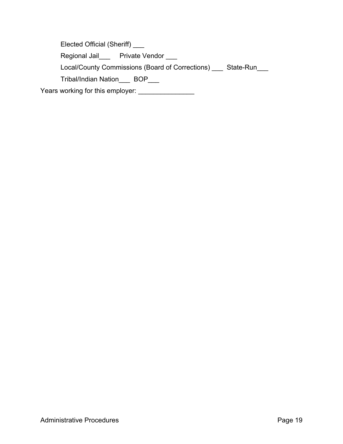Elected Official (Sheriff) \_\_\_

Regional Jail\_\_\_ Private Vendor \_\_\_

Local/County Commissions (Board of Corrections) \_\_\_ State-Run\_\_\_

Tribal/Indian Nation\_\_\_ BOP\_\_\_

Years working for this employer: \_\_\_\_\_\_\_\_\_\_\_\_\_\_\_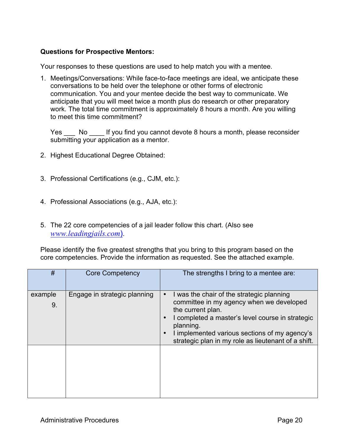### **Questions for Prospective Mentors:**

Your responses to these questions are used to help match you with a mentee.

1. Meetings/Conversations: While face-to-face meetings are ideal, we anticipate these conversations to be held over the telephone or other forms of electronic communication. You and your mentee decide the best way to communicate. We anticipate that you will meet twice a month plus do research or other preparatory work. The total time commitment is approximately 8 hours a month. Are you willing to meet this time commitment?

Yes No If you find you cannot devote 8 hours a month, please reconsider submitting your application as a mentor.

- 2. Highest Educational Degree Obtained:
- 3. Professional Certifications (e.g., CJM, etc.):
- 4. Professional Associations (e.g., AJA, etc.):
- 5. The 22 core competencies of a jail leader follow this chart. (Also see *www.leadingjails.com*).

Please identify the five greatest strengths that you bring to this program based on the core competencies. Provide the information as requested. See the attached example.

| #             | <b>Core Competency</b>       | The strengths I bring to a mentee are:                                                                                                                                                                                                                                                                                     |
|---------------|------------------------------|----------------------------------------------------------------------------------------------------------------------------------------------------------------------------------------------------------------------------------------------------------------------------------------------------------------------------|
| example<br>9. | Engage in strategic planning | I was the chair of the strategic planning<br>$\bullet$<br>committee in my agency when we developed<br>the current plan.<br>I completed a master's level course in strategic<br>$\bullet$<br>planning.<br>I implemented various sections of my agency's<br>$\bullet$<br>strategic plan in my role as lieutenant of a shift. |
|               |                              |                                                                                                                                                                                                                                                                                                                            |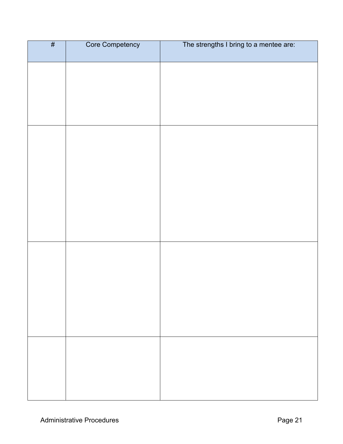| # | Core Competency | The strengths I bring to a mentee are: |
|---|-----------------|----------------------------------------|
|   |                 |                                        |
|   |                 |                                        |
|   |                 |                                        |
|   |                 |                                        |
|   |                 |                                        |
|   |                 |                                        |
|   |                 |                                        |
|   |                 |                                        |
|   |                 |                                        |
|   |                 |                                        |
|   |                 |                                        |
|   |                 |                                        |
|   |                 |                                        |
|   |                 |                                        |
|   |                 |                                        |
|   |                 |                                        |
|   |                 |                                        |
|   |                 |                                        |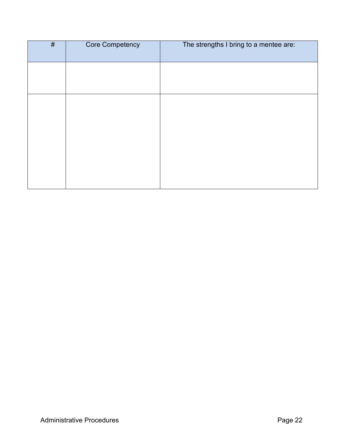| $\overline{\#}$ | Core Competency | The strengths I bring to a mentee are: |
|-----------------|-----------------|----------------------------------------|
|                 |                 |                                        |
|                 |                 |                                        |
|                 |                 |                                        |
|                 |                 |                                        |
|                 |                 |                                        |
|                 |                 |                                        |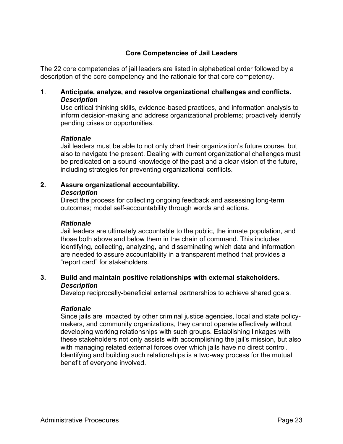# **Core Competencies of Jail Leaders**

The 22 core competencies of jail leaders are listed in alphabetical order followed by a description of the core competency and the rationale for that core competency.

## 1. **Anticipate, analyze, and resolve organizational challenges and conflicts.** *Description*

Use critical thinking skills, evidence-based practices, and information analysis to inform decision-making and address organizational problems; proactively identify pending crises or opportunities.

#### *Rationale*

Jail leaders must be able to not only chart their organization's future course, but also to navigate the present. Dealing with current organizational challenges must be predicated on a sound knowledge of the past and a clear vision of the future, including strategies for preventing organizational conflicts.

## **2. Assure organizational accountability.**

#### *Description*

Direct the process for collecting ongoing feedback and assessing long-term outcomes; model self-accountability through words and actions.

#### *Rationale*

Jail leaders are ultimately accountable to the public, the inmate population, and those both above and below them in the chain of command. This includes identifying, collecting, analyzing, and disseminating which data and information are needed to assure accountability in a transparent method that provides a "report card" for stakeholders.

## **3. Build and maintain positive relationships with external stakeholders.** *Description*

Develop reciprocally-beneficial external partnerships to achieve shared goals.

#### *Rationale*

Since jails are impacted by other criminal justice agencies, local and state policymakers, and community organizations, they cannot operate effectively without developing working relationships with such groups. Establishing linkages with these stakeholders not only assists with accomplishing the jail's mission, but also with managing related external forces over which jails have no direct control. Identifying and building such relationships is a two-way process for the mutual benefit of everyone involved.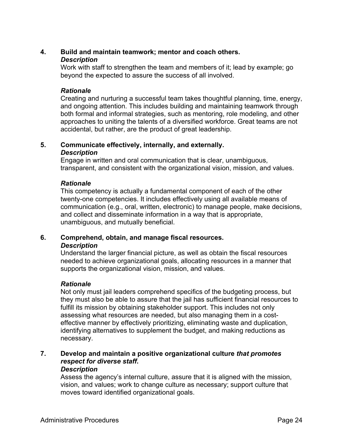## **4. Build and maintain teamwork; mentor and coach others.**

#### *Description*

Work with staff to strengthen the team and members of it; lead by example; go beyond the expected to assure the success of all involved.

#### *Rationale*

Creating and nurturing a successful team takes thoughtful planning, time, energy, and ongoing attention. This includes building and maintaining teamwork through both formal and informal strategies, such as mentoring, role modeling, and other approaches to uniting the talents of a diversified workforce. Great teams are not accidental, but rather, are the product of great leadership.

#### **5. Communicate effectively, internally, and externally.** *Description*

Engage in written and oral communication that is clear, unambiguous, transparent, and consistent with the organizational vision, mission, and values.

## *Rationale*

This competency is actually a fundamental component of each of the other twenty-one competencies. It includes effectively using all available means of communication (e.g., oral, written, electronic) to manage people, make decisions, and collect and disseminate information in a way that is appropriate, unambiguous, and mutually beneficial.

## **6. Comprehend, obtain, and manage fiscal resources.** *Description*

Understand the larger financial picture, as well as obtain the fiscal resources needed to achieve organizational goals, allocating resources in a manner that supports the organizational vision, mission, and values.

# *Rationale*

Not only must jail leaders comprehend specifics of the budgeting process, but they must also be able to assure that the jail has sufficient financial resources to fulfill its mission by obtaining stakeholder support. This includes not only assessing what resources are needed, but also managing them in a costeffective manner by effectively prioritizing, eliminating waste and duplication, identifying alternatives to supplement the budget, and making reductions as necessary.

# **7. Develop and maintain a positive organizational culture** *that promotes respect for diverse staff***.**

#### *Description*

Assess the agency's internal culture, assure that it is aligned with the mission, vision, and values; work to change culture as necessary; support culture that moves toward identified organizational goals.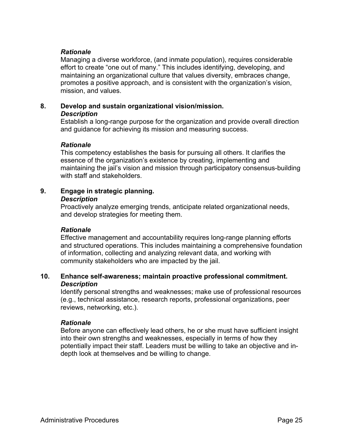### *Rationale*

Managing a diverse workforce, (and inmate population), requires considerable effort to create "one out of many." This includes identifying, developing, and maintaining an organizational culture that values diversity, embraces change, promotes a positive approach, and is consistent with the organization's vision, mission, and values.

# **8. Develop and sustain organizational vision/mission.**

## *Description*

Establish a long-range purpose for the organization and provide overall direction and guidance for achieving its mission and measuring success.

#### *Rationale*

This competency establishes the basis for pursuing all others. It clarifies the essence of the organization's existence by creating, implementing and maintaining the jail's vision and mission through participatory consensus-building with staff and stakeholders.

# **9. Engage in strategic planning.**

#### *Description*

Proactively analyze emerging trends, anticipate related organizational needs, and develop strategies for meeting them.

#### *Rationale*

Effective management and accountability requires long-range planning efforts and structured operations. This includes maintaining a comprehensive foundation of information, collecting and analyzing relevant data, and working with community stakeholders who are impacted by the jail.

#### **10. Enhance self-awareness; maintain proactive professional commitment.** *Description*

Identify personal strengths and weaknesses; make use of professional resources (e.g., technical assistance, research reports, professional organizations, peer reviews, networking, etc.).

#### *Rationale*

Before anyone can effectively lead others, he or she must have sufficient insight into their own strengths and weaknesses, especially in terms of how they potentially impact their staff. Leaders must be willing to take an objective and indepth look at themselves and be willing to change.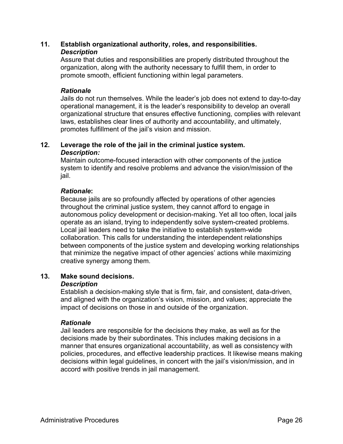#### **11. Establish organizational authority, roles, and responsibilities.** *Description*

Assure that duties and responsibilities are properly distributed throughout the organization, along with the authority necessary to fulfill them, in order to promote smooth, efficient functioning within legal parameters.

#### *Rationale*

Jails do not run themselves. While the leader's job does not extend to day-to-day operational management, it is the leader's responsibility to develop an overall organizational structure that ensures effective functioning, complies with relevant laws, establishes clear lines of authority and accountability, and ultimately, promotes fulfillment of the jail's vision and mission.

## **12. Leverage the role of the jail in the criminal justice system.** *Description:*

Maintain outcome-focused interaction with other components of the justice system to identify and resolve problems and advance the vision/mission of the jail.

## *Rationale***:**

Because jails are so profoundly affected by operations of other agencies throughout the criminal justice system, they cannot afford to engage in autonomous policy development or decision-making. Yet all too often, local jails operate as an island, trying to independently solve system-created problems. Local jail leaders need to take the initiative to establish system-wide collaboration. This calls for understanding the interdependent relationships between components of the justice system and developing working relationships that minimize the negative impact of other agencies' actions while maximizing creative synergy among them.

# **13. Make sound decisions.**

#### *Description*

Establish a decision-making style that is firm, fair, and consistent, data-driven, and aligned with the organization's vision, mission, and values; appreciate the impact of decisions on those in and outside of the organization.

# *Rationale*

Jail leaders are responsible for the decisions they make, as well as for the decisions made by their subordinates. This includes making decisions in a manner that ensures organizational accountability, as well as consistency with policies, procedures, and effective leadership practices. It likewise means making decisions within legal guidelines, in concert with the jail's vision/mission, and in accord with positive trends in jail management.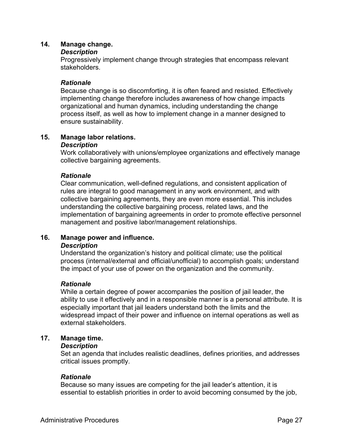#### **14. Manage change.**

#### *Description*

Progressively implement change through strategies that encompass relevant stakeholders.

#### *Rationale*

Because change is so discomforting, it is often feared and resisted. Effectively implementing change therefore includes awareness of how change impacts organizational and human dynamics, including understanding the change process itself, as well as how to implement change in a manner designed to ensure sustainability.

# **15. Manage labor relations.**

#### *Description*

Work collaboratively with unions/employee organizations and effectively manage collective bargaining agreements.

#### *Rationale*

Clear communication, well-defined regulations, and consistent application of rules are integral to good management in any work environment, and with collective bargaining agreements, they are even more essential. This includes understanding the collective bargaining process, related laws, and the implementation of bargaining agreements in order to promote effective personnel management and positive labor/management relationships.

#### **16. Manage power and influence.** *Description*

Understand the organization's history and political climate; use the political process (internal/external and official/unofficial) to accomplish goals; understand the impact of your use of power on the organization and the community.

#### *Rationale*

While a certain degree of power accompanies the position of jail leader, the ability to use it effectively and in a responsible manner is a personal attribute. It is especially important that jail leaders understand both the limits and the widespread impact of their power and influence on internal operations as well as external stakeholders.

#### **17. Manage time.**

#### *Description*

Set an agenda that includes realistic deadlines, defines priorities, and addresses critical issues promptly.

#### *Rationale*

Because so many issues are competing for the jail leader's attention, it is essential to establish priorities in order to avoid becoming consumed by the job,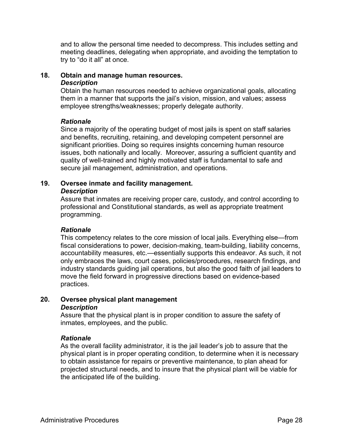and to allow the personal time needed to decompress. This includes setting and meeting deadlines, delegating when appropriate, and avoiding the temptation to try to "do it all" at once.

#### **18. Obtain and manage human resources.**

#### *Description*

Obtain the human resources needed to achieve organizational goals, allocating them in a manner that supports the jail's vision, mission, and values; assess employee strengths/weaknesses; properly delegate authority.

#### *Rationale*

Since a majority of the operating budget of most jails is spent on staff salaries and benefits, recruiting, retaining, and developing competent personnel are significant priorities. Doing so requires insights concerning human resource issues, both nationally and locally. Moreover, assuring a sufficient quantity and quality of well-trained and highly motivated staff is fundamental to safe and secure jail management, administration, and operations.

#### **19. Oversee inmate and facility management.** *Description*

Assure that inmates are receiving proper care, custody, and control according to professional and Constitutional standards, as well as appropriate treatment programming.

#### *Rationale*

This competency relates to the core mission of local jails. Everything else—from fiscal considerations to power, decision-making, team-building, liability concerns, accountability measures, etc.—essentially supports this endeavor. As such, it not only embraces the laws, court cases, policies/procedures, research findings, and industry standards guiding jail operations, but also the good faith of jail leaders to move the field forward in progressive directions based on evidence-based practices.

## **20. Oversee physical plant management** *Description*

Assure that the physical plant is in proper condition to assure the safety of inmates, employees, and the public.

#### *Rationale*

As the overall facility administrator, it is the jail leader's job to assure that the physical plant is in proper operating condition, to determine when it is necessary to obtain assistance for repairs or preventive maintenance, to plan ahead for projected structural needs, and to insure that the physical plant will be viable for the anticipated life of the building.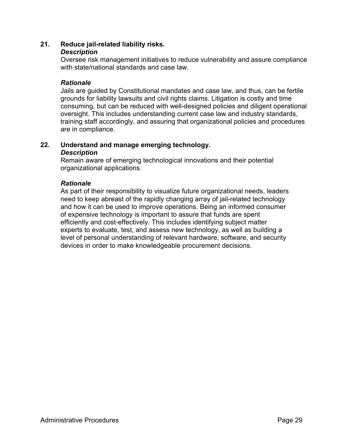#### **21. Reduce jail-related liability risks.**

#### *Description*

Oversee risk management initiatives to reduce vulnerability and assure compliance with state/national standards and case law.

#### *Rationale*

Jails are guided by Constitutional mandates and case law, and thus, can be fertile grounds for liability lawsuits and civil rights claims. Litigation is costly and time consuming, but can be reduced with well-designed policies and diligent operational oversight. This includes understanding current case law and industry standards, training staff accordingly, and assuring that organizational policies and procedures are in compliance.

#### **22. Understand and manage emerging technology.** *Description*

Remain aware of emerging technological innovations and their potential organizational applications.

#### *Rationale*

As part of their responsibility to visualize future organizational needs, leaders need to keep abreast of the rapidly changing array of jail-related technology and how it can be used to improve operations. Being an informed consumer of expensive technology is important to assure that funds are spent efficiently and cost-effectively. This includes identifying subject matter experts to evaluate, test, and assess new technology, as well as building a level of personal understanding of relevant hardware, software, and security devices in order to make knowledgeable procurement decisions.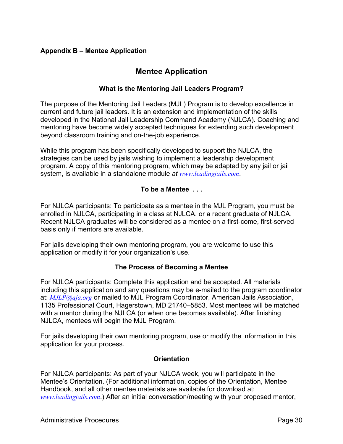# **Appendix B – Mentee Application**

# **Mentee Application**

## **What is the Mentoring Jail Leaders Program?**

The purpose of the Mentoring Jail Leaders (MJL) Program is to develop excellence in current and future jail leaders. It is an extension and implementation of the skills developed in the National Jail Leadership Command Academy (NJLCA). Coaching and mentoring have become widely accepted techniques for extending such development beyond classroom training and on-the-job experience.

While this program has been specifically developed to support the NJLCA, the strategies can be used by jails wishing to implement a leadership development program. A copy of this mentoring program, which may be adapted by any jail or jail system, is available in a standalone module *at www.leadingjails.com*.

## **To be a Mentee . . .**

For NJLCA participants: To participate as a mentee in the MJL Program, you must be enrolled in NJLCA, participating in a class at NJLCA, or a recent graduate of NJLCA. Recent NJLCA graduates will be considered as a mentee on a first-come, first-served basis only if mentors are available.

For jails developing their own mentoring program, you are welcome to use this application or modify it for your organization's use.

#### **The Process of Becoming a Mentee**

For NJLCA participants: Complete this application and be accepted. All materials including this application and any questions may be e-mailed to the program coordinator at: *MJLP@aja.org* or mailed to MJL Program Coordinator, American Jails Association, 1135 Professional Court, Hagerstown, MD 21740–5853. Most mentees will be matched with a mentor during the NJLCA (or when one becomes available). After finishing NJLCA, mentees will begin the MJL Program.

For jails developing their own mentoring program, use or modify the information in this application for your process.

#### **Orientation**

For NJLCA participants: As part of your NJLCA week, you will participate in the Mentee's Orientation. (For additional information, copies of the Orientation, Mentee Handbook, and all other mentee materials are available for download at: *www.leadingjails.com*.) After an initial conversation/meeting with your proposed mentor,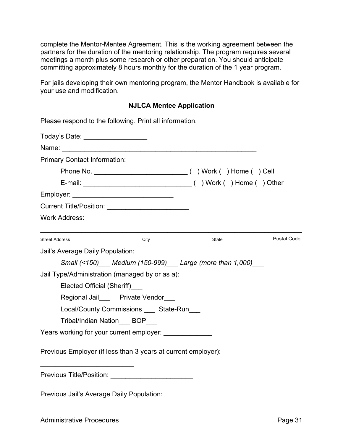complete the Mentor-Mentee Agreement. This is the working agreement between the partners for the duration of the mentoring relationship. The program requires several meetings a month plus some research or other preparation. You should anticipate committing approximately 8 hours monthly for the duration of the 1 year program.

For jails developing their own mentoring program, the Mentor Handbook is available for your use and modification.

#### **NJLCA Mentee Application**

| Please respond to the following. Print all information.       |      |                                                       |             |
|---------------------------------------------------------------|------|-------------------------------------------------------|-------------|
| Today's Date: ____________________                            |      |                                                       |             |
| Name:                                                         |      |                                                       |             |
| <b>Primary Contact Information:</b>                           |      |                                                       |             |
|                                                               |      |                                                       |             |
|                                                               |      |                                                       |             |
|                                                               |      |                                                       |             |
|                                                               |      |                                                       |             |
| <b>Work Address:</b>                                          |      |                                                       |             |
| <b>Street Address</b>                                         | City | State                                                 | Postal Code |
| Jail's Average Daily Population:                              |      |                                                       |             |
|                                                               |      | Small (<150) Medium (150-999) Large (more than 1,000) |             |
| Jail Type/Administration (managed by or as a):                |      |                                                       |             |
| Elected Official (Sheriff)                                    |      |                                                       |             |
| Regional Jail Private Vendor                                  |      |                                                       |             |
| Local/County Commissions ____ State-Run___                    |      |                                                       |             |
| Tribal/Indian Nation ___ BOP___                               |      |                                                       |             |
| Years working for your current employer:                      |      |                                                       |             |
| Previous Employer (if less than 3 years at current employer): |      |                                                       |             |
|                                                               |      |                                                       |             |

Previous Jail's Average Daily Population: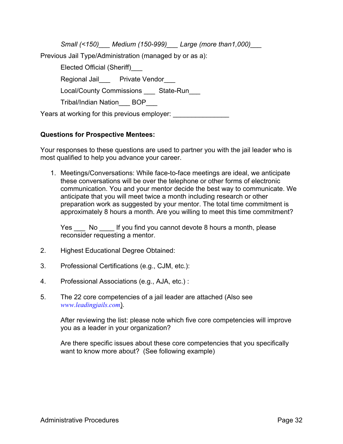*Small (<150)\_\_\_ Medium (150-999)\_\_\_ Large (more than1,000)\_\_\_* Previous Jail Type/Administration (managed by or as a): Elected Official (Sheriff)\_\_\_ Regional Jail Private Vendor Local/County Commissions State-Run Tribal/Indian Nation BOP Years at working for this previous employer:

## **Questions for Prospective Mentees:**

Your responses to these questions are used to partner you with the jail leader who is most qualified to help you advance your career.

1. Meetings/Conversations: While face-to-face meetings are ideal, we anticipate these conversations will be over the telephone or other forms of electronic communication. You and your mentor decide the best way to communicate. We anticipate that you will meet twice a month including research or other preparation work as suggested by your mentor. The total time commitment is approximately 8 hours a month. Are you willing to meet this time commitment?

Yes No If you find you cannot devote 8 hours a month, please reconsider requesting a mentor.

- 2. Highest Educational Degree Obtained:
- 3. Professional Certifications (e.g., CJM, etc.):
- 4. Professional Associations (e.g., AJA, etc.) :
- 5. The 22 core competencies of a jail leader are attached (Also see *www.leadingjails.com*).

After reviewing the list: please note which five core competencies will improve you as a leader in your organization?

Are there specific issues about these core competencies that you specifically want to know more about? (See following example)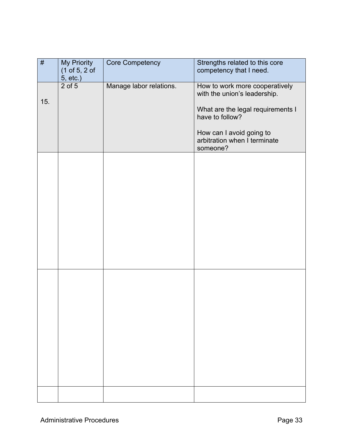| $\#$ | My Priority<br>(1 of 5, 2 of<br>5, etc.) | Core Competency         | Strengths related to this core<br>competency that I need.                                                                                                                                      |
|------|------------------------------------------|-------------------------|------------------------------------------------------------------------------------------------------------------------------------------------------------------------------------------------|
| 15.  | $\overline{2}$ of 5                      | Manage labor relations. | How to work more cooperatively<br>with the union's leadership.<br>What are the legal requirements I<br>have to follow?<br>How can I avoid going to<br>arbitration when I terminate<br>someone? |
|      |                                          |                         |                                                                                                                                                                                                |
|      |                                          |                         |                                                                                                                                                                                                |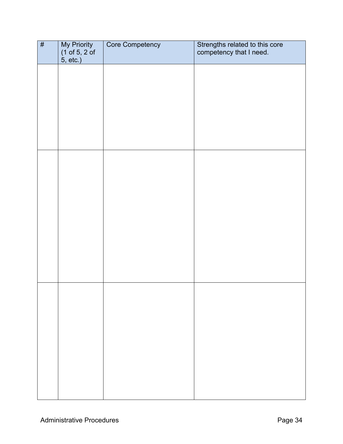| # | My Priority<br>(1 of 5, 2 of | Core Competency | Strengths related to this core<br>competency that I need. |
|---|------------------------------|-----------------|-----------------------------------------------------------|
|   | 5, etc.)                     |                 |                                                           |
|   |                              |                 |                                                           |
|   |                              |                 |                                                           |
|   |                              |                 |                                                           |
|   |                              |                 |                                                           |
|   |                              |                 |                                                           |
|   |                              |                 |                                                           |
|   |                              |                 |                                                           |
|   |                              |                 |                                                           |
|   |                              |                 |                                                           |
|   |                              |                 |                                                           |
|   |                              |                 |                                                           |
|   |                              |                 |                                                           |
|   |                              |                 |                                                           |
|   |                              |                 |                                                           |
|   |                              |                 |                                                           |
|   |                              |                 |                                                           |
|   |                              |                 |                                                           |
|   |                              |                 |                                                           |
|   |                              |                 |                                                           |
|   |                              |                 |                                                           |
|   |                              |                 |                                                           |
|   |                              |                 |                                                           |
|   |                              |                 |                                                           |
|   |                              |                 |                                                           |
|   |                              |                 |                                                           |
|   |                              |                 |                                                           |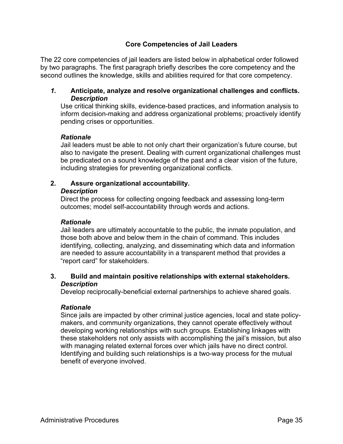## **Core Competencies of Jail Leaders**

The 22 core competencies of jail leaders are listed below in alphabetical order followed by two paragraphs. The first paragraph briefly describes the core competency and the second outlines the knowledge, skills and abilities required for that core competency.

#### *1.* **Anticipate, analyze and resolve organizational challenges and conflicts.** *Description*

Use critical thinking skills, evidence-based practices, and information analysis to inform decision-making and address organizational problems; proactively identify pending crises or opportunities.

#### *Rationale*

Jail leaders must be able to not only chart their organization's future course, but also to navigate the present. Dealing with current organizational challenges must be predicated on a sound knowledge of the past and a clear vision of the future, including strategies for preventing organizational conflicts.

# **2. Assure organizational accountability.**

#### *Description*

Direct the process for collecting ongoing feedback and assessing long-term outcomes; model self-accountability through words and actions.

#### *Rationale*

Jail leaders are ultimately accountable to the public, the inmate population, and those both above and below them in the chain of command. This includes identifying, collecting, analyzing, and disseminating which data and information are needed to assure accountability in a transparent method that provides a "report card" for stakeholders.

#### **3. Build and maintain positive relationships with external stakeholders.** *Description*

Develop reciprocally-beneficial external partnerships to achieve shared goals.

#### *Rationale*

Since jails are impacted by other criminal justice agencies, local and state policymakers, and community organizations, they cannot operate effectively without developing working relationships with such groups. Establishing linkages with these stakeholders not only assists with accomplishing the jail's mission, but also with managing related external forces over which jails have no direct control. Identifying and building such relationships is a two-way process for the mutual benefit of everyone involved.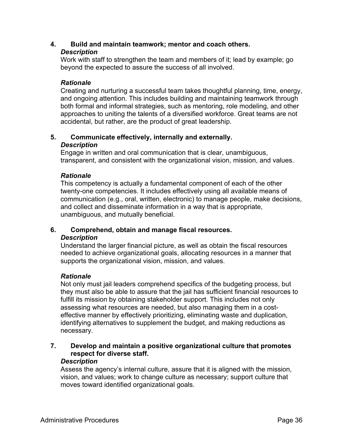#### **4. Build and maintain teamwork; mentor and coach others.** *Description*

Work with staff to strengthen the team and members of it; lead by example; go beyond the expected to assure the success of all involved.

## *Rationale*

Creating and nurturing a successful team takes thoughtful planning, time, energy, and ongoing attention. This includes building and maintaining teamwork through both formal and informal strategies, such as mentoring, role modeling, and other approaches to uniting the talents of a diversified workforce. Great teams are not accidental, but rather, are the product of great leadership.

## **5. Communicate effectively, internally and externally.** *Description*

Engage in written and oral communication that is clear, unambiguous, transparent, and consistent with the organizational vision, mission, and values.

## *Rationale*

This competency is actually a fundamental component of each of the other twenty-one competencies. It includes effectively using all available means of communication (e.g., oral, written, electronic) to manage people, make decisions, and collect and disseminate information in a way that is appropriate, unambiguous, and mutually beneficial.

# **6. Comprehend, obtain and manage fiscal resources.**

#### *Description*

Understand the larger financial picture, as well as obtain the fiscal resources needed to achieve organizational goals, allocating resources in a manner that supports the organizational vision, mission, and values.

#### *Rationale*

Not only must jail leaders comprehend specifics of the budgeting process, but they must also be able to assure that the jail has sufficient financial resources to fulfill its mission by obtaining stakeholder support. This includes not only assessing what resources are needed, but also managing them in a costeffective manner by effectively prioritizing, eliminating waste and duplication, identifying alternatives to supplement the budget, and making reductions as necessary.

## **7. Develop and maintain a positive organizational culture that promotes respect for diverse staff.**

#### *Description*

Assess the agency's internal culture, assure that it is aligned with the mission, vision, and values; work to change culture as necessary; support culture that moves toward identified organizational goals.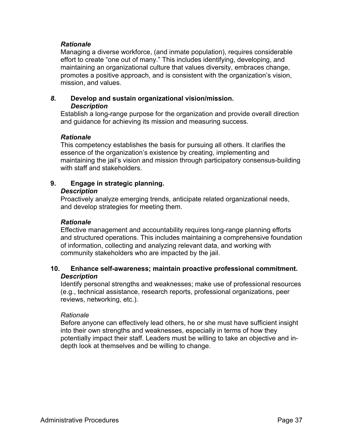#### *Rationale*

Managing a diverse workforce, (and inmate population), requires considerable effort to create "one out of many." This includes identifying, developing, and maintaining an organizational culture that values diversity, embraces change, promotes a positive approach, and is consistent with the organization's vision, mission, and values.

#### *8.* **Develop and sustain organizational vision/mission.** *Description*

Establish a long-range purpose for the organization and provide overall direction and guidance for achieving its mission and measuring success.

#### *Rationale*

This competency establishes the basis for pursuing all others. It clarifies the essence of the organization's existence by creating, implementing and maintaining the jail's vision and mission through participatory consensus-building with staff and stakeholders.

# **9. Engage in strategic planning.**

#### *Description*

Proactively analyze emerging trends, anticipate related organizational needs, and develop strategies for meeting them.

#### *Rationale*

Effective management and accountability requires long-range planning efforts and structured operations. This includes maintaining a comprehensive foundation of information, collecting and analyzing relevant data, and working with community stakeholders who are impacted by the jail.

## **10. Enhance self-awareness; maintain proactive professional commitment.** *Description*

Identify personal strengths and weaknesses; make use of professional resources (e.g., technical assistance, research reports, professional organizations, peer reviews, networking, etc.).

#### *Rationale*

Before anyone can effectively lead others, he or she must have sufficient insight into their own strengths and weaknesses, especially in terms of how they potentially impact their staff. Leaders must be willing to take an objective and indepth look at themselves and be willing to change.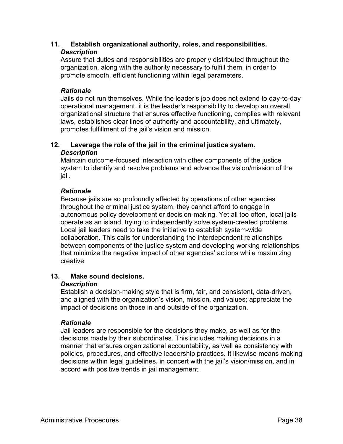## **11. Establish organizational authority, roles, and responsibilities.** *Description*

Assure that duties and responsibilities are properly distributed throughout the organization, along with the authority necessary to fulfill them, in order to promote smooth, efficient functioning within legal parameters.

## *Rationale*

Jails do not run themselves. While the leader's job does not extend to day-to-day operational management, it is the leader's responsibility to develop an overall organizational structure that ensures effective functioning, complies with relevant laws, establishes clear lines of authority and accountability, and ultimately, promotes fulfillment of the jail's vision and mission.

## **12. Leverage the role of the jail in the criminal justice system.** *Description*

Maintain outcome-focused interaction with other components of the justice system to identify and resolve problems and advance the vision/mission of the jail.

## *Rationale*

Because jails are so profoundly affected by operations of other agencies throughout the criminal justice system, they cannot afford to engage in autonomous policy development or decision-making. Yet all too often, local jails operate as an island, trying to independently solve system-created problems. Local jail leaders need to take the initiative to establish system-wide collaboration. This calls for understanding the interdependent relationships between components of the justice system and developing working relationships that minimize the negative impact of other agencies' actions while maximizing creative

# **13. Make sound decisions.**

#### *Description*

Establish a decision-making style that is firm, fair, and consistent, data-driven, and aligned with the organization's vision, mission, and values; appreciate the impact of decisions on those in and outside of the organization.

#### *Rationale*

Jail leaders are responsible for the decisions they make, as well as for the decisions made by their subordinates. This includes making decisions in a manner that ensures organizational accountability, as well as consistency with policies, procedures, and effective leadership practices. It likewise means making decisions within legal guidelines, in concert with the jail's vision/mission, and in accord with positive trends in jail management.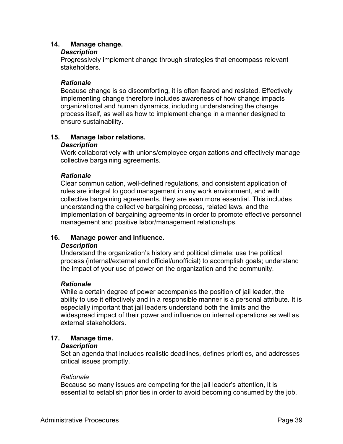## **14. Manage change.**

#### *Description*

Progressively implement change through strategies that encompass relevant stakeholders.

#### *Rationale*

Because change is so discomforting, it is often feared and resisted. Effectively implementing change therefore includes awareness of how change impacts organizational and human dynamics, including understanding the change process itself, as well as how to implement change in a manner designed to ensure sustainability.

# **15. Manage labor relations.**

#### *Description*

Work collaboratively with unions/employee organizations and effectively manage collective bargaining agreements.

## *Rationale*

Clear communication, well-defined regulations, and consistent application of rules are integral to good management in any work environment, and with collective bargaining agreements, they are even more essential. This includes understanding the collective bargaining process, related laws, and the implementation of bargaining agreements in order to promote effective personnel management and positive labor/management relationships.

# **16. Manage power and influence.**

#### *Description*

Understand the organization's history and political climate; use the political process (internal/external and official/unofficial) to accomplish goals; understand the impact of your use of power on the organization and the community.

#### *Rationale*

While a certain degree of power accompanies the position of jail leader, the ability to use it effectively and in a responsible manner is a personal attribute. It is especially important that jail leaders understand both the limits and the widespread impact of their power and influence on internal operations as well as external stakeholders.

#### **17. Manage time.**

#### *Description*

Set an agenda that includes realistic deadlines, defines priorities, and addresses critical issues promptly.

#### *Rationale*

Because so many issues are competing for the jail leader's attention, it is essential to establish priorities in order to avoid becoming consumed by the job,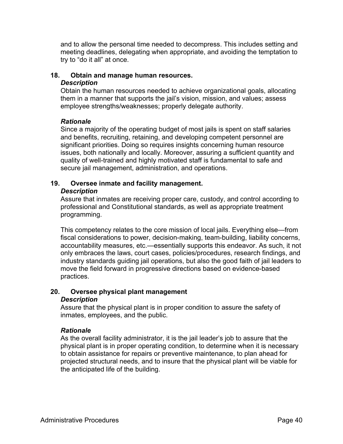and to allow the personal time needed to decompress. This includes setting and meeting deadlines, delegating when appropriate, and avoiding the temptation to try to "do it all" at once.

# **18. Obtain and manage human resources.**

#### *Description*

Obtain the human resources needed to achieve organizational goals, allocating them in a manner that supports the jail's vision, mission, and values; assess employee strengths/weaknesses; properly delegate authority.

## *Rationale*

Since a majority of the operating budget of most jails is spent on staff salaries and benefits, recruiting, retaining, and developing competent personnel are significant priorities. Doing so requires insights concerning human resource issues, both nationally and locally. Moreover, assuring a sufficient quantity and quality of well-trained and highly motivated staff is fundamental to safe and secure jail management, administration, and operations.

#### **19. Oversee inmate and facility management.** *Description*

Assure that inmates are receiving proper care, custody, and control according to professional and Constitutional standards, as well as appropriate treatment programming.

This competency relates to the core mission of local jails. Everything else—from fiscal considerations to power, decision-making, team-building, liability concerns, accountability measures, etc.—essentially supports this endeavor. As such, it not only embraces the laws, court cases, policies/procedures, research findings, and industry standards guiding jail operations, but also the good faith of jail leaders to move the field forward in progressive directions based on evidence-based practices.

#### **20. Oversee physical plant management** *Description*

Assure that the physical plant is in proper condition to assure the safety of inmates, employees, and the public.

# *Rationale*

As the overall facility administrator, it is the jail leader's job to assure that the physical plant is in proper operating condition, to determine when it is necessary to obtain assistance for repairs or preventive maintenance, to plan ahead for projected structural needs, and to insure that the physical plant will be viable for the anticipated life of the building.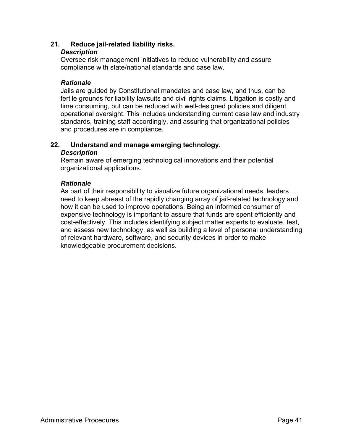## **21. Reduce jail-related liability risks.**

#### *Description*

Oversee risk management initiatives to reduce vulnerability and assure compliance with state/national standards and case law.

#### *Rationale*

Jails are guided by Constitutional mandates and case law, and thus, can be fertile grounds for liability lawsuits and civil rights claims. Litigation is costly and time consuming, but can be reduced with well-designed policies and diligent operational oversight. This includes understanding current case law and industry standards, training staff accordingly, and assuring that organizational policies and procedures are in compliance.

#### **22. Understand and manage emerging technology.** *Description*

Remain aware of emerging technological innovations and their potential organizational applications.

#### *Rationale*

As part of their responsibility to visualize future organizational needs, leaders need to keep abreast of the rapidly changing array of jail-related technology and how it can be used to improve operations. Being an informed consumer of expensive technology is important to assure that funds are spent efficiently and cost-effectively. This includes identifying subject matter experts to evaluate, test, and assess new technology, as well as building a level of personal understanding of relevant hardware, software, and security devices in order to make knowledgeable procurement decisions.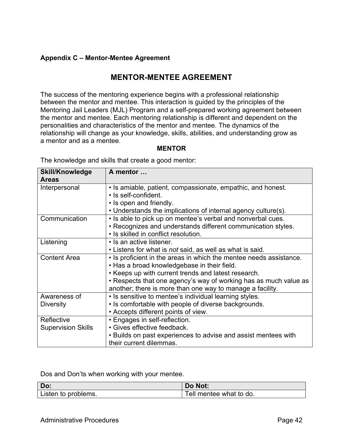# **Appendix C – Mentor-Mentee Agreement**

# **MENTOR-MENTEE AGREEMENT**

The success of the mentoring experience begins with a professional relationship between the mentor and mentee. This interaction is guided by the principles of the Mentoring Jail Leaders (MJL) Program and a self-prepared working agreement between the mentor and mentee. Each mentoring relationship is different and dependent on the personalities and characteristics of the mentor and mentee. The dynamics of the relationship will change as your knowledge, skills, abilities, and understanding grow as a mentor and as a mentee.

#### **MENTOR**

The knowledge and skills that create a good mentor:

| <b>Skill/Knowledge</b>    | A mentor                                                           |
|---------------------------|--------------------------------------------------------------------|
| <b>Areas</b>              |                                                                    |
| Interpersonal             | • Is amiable, patient, compassionate, empathic, and honest.        |
|                           | • Is self-confident.                                               |
|                           | • Is open and friendly.                                            |
|                           | • Understands the implications of internal agency culture(s).      |
| Communication             | . Is able to pick up on mentee's verbal and nonverbal cues.        |
|                           | • Recognizes and understands different communication styles.       |
|                           | • Is skilled in conflict resolution.                               |
| Listening                 | • Is an active listener.                                           |
|                           | • Listens for what is not said, as well as what is said.           |
| <b>Content Area</b>       | • Is proficient in the areas in which the mentee needs assistance. |
|                           | . Has a broad knowledgebase in their field.                        |
|                           | • Keeps up with current trends and latest research.                |
|                           | • Respects that one agency's way of working has as much value as   |
|                           | another; there is more than one way to manage a facility.          |
| Awareness of              | • Is sensitive to mentee's individual learning styles.             |
| <b>Diversity</b>          | • Is comfortable with people of diverse backgrounds.               |
|                           | • Accepts different points of view.                                |
| Reflective                | • Engages in self-reflection.                                      |
| <b>Supervision Skills</b> | · Gives effective feedback.                                        |
|                           | • Builds on past experiences to advise and assist mentees with     |
|                           | their current dilemmas.                                            |

#### Dos and Don'ts when working with your mentee.

| Do:                 | Do Not:                 |  |  |
|---------------------|-------------------------|--|--|
| Listen to problems. | Tell mentee what to do. |  |  |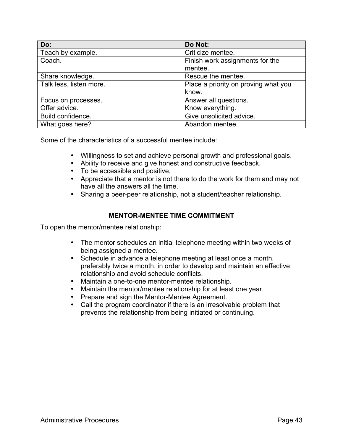| Do:                     | Do Not:                              |
|-------------------------|--------------------------------------|
| Teach by example.       | Criticize mentee.                    |
| Coach.                  | Finish work assignments for the      |
|                         | mentee.                              |
| Share knowledge.        | Rescue the mentee.                   |
| Talk less, listen more. | Place a priority on proving what you |
|                         | know.                                |
| Focus on processes.     | Answer all questions.                |
| Offer advice.           | Know everything.                     |
| Build confidence.       | Give unsolicited advice.             |
| What goes here?         | Abandon mentee.                      |

Some of the characteristics of a successful mentee include:

- Willingness to set and achieve personal growth and professional goals.
- Ability to receive and give honest and constructive feedback.
- To be accessible and positive.
- Appreciate that a mentor is not there to do the work for them and may not have all the answers all the time.
- Sharing a peer-peer relationship, not a student/teacher relationship.

## **MENTOR-MENTEE TIME COMMITMENT**

To open the mentor/mentee relationship:

- The mentor schedules an initial telephone meeting within two weeks of being assigned a mentee.
- Schedule in advance a telephone meeting at least once a month, preferably twice a month, in order to develop and maintain an effective relationship and avoid schedule conflicts.
- Maintain a one-to-one mentor-mentee relationship.
- Maintain the mentor/mentee relationship for at least one year.
- Prepare and sign the Mentor-Mentee Agreement.
- Call the program coordinator if there is an irresolvable problem that prevents the relationship from being initiated or continuing.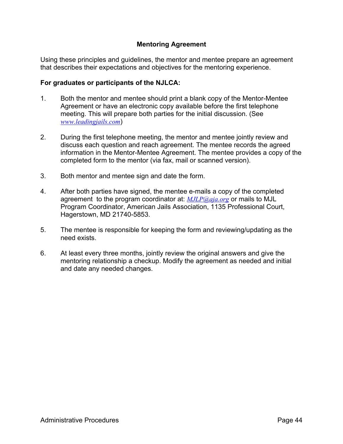## **Mentoring Agreement**

Using these principles and guidelines, the mentor and mentee prepare an agreement that describes their expectations and objectives for the mentoring experience.

#### **For graduates or participants of the NJLCA:**

- 1. Both the mentor and mentee should print a blank copy of the Mentor-Mentee Agreement or have an electronic copy available before the first telephone meeting. This will prepare both parties for the initial discussion. (See *www.leadingjails.com*)
- 2. During the first telephone meeting, the mentor and mentee jointly review and discuss each question and reach agreement. The mentee records the agreed information in the Mentor-Mentee Agreement. The mentee provides a copy of the completed form to the mentor (via fax, mail or scanned version).
- 3. Both mentor and mentee sign and date the form.
- 4. After both parties have signed, the mentee e-mails a copy of the completed agreement to the program coordinator at: *MJLP@aja.org* or mails to MJL Program Coordinator, American Jails Association, 1135 Professional Court, Hagerstown, MD 21740-5853.
- 5. The mentee is responsible for keeping the form and reviewing/updating as the need exists.
- 6. At least every three months, jointly review the original answers and give the mentoring relationship a checkup. Modify the agreement as needed and initial and date any needed changes.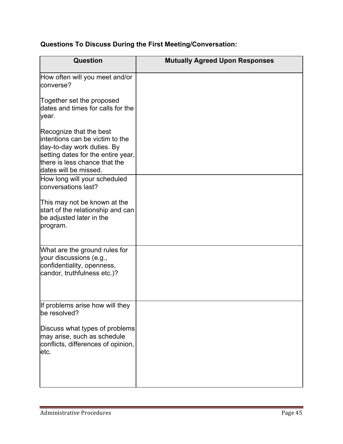|  |  |  |  |  | Questions To Discuss During the First Meeting/Conversation: |
|--|--|--|--|--|-------------------------------------------------------------|
|--|--|--|--|--|-------------------------------------------------------------|

| Question                                                                                                                                                                                 | <b>Mutually Agreed Upon Responses</b> |
|------------------------------------------------------------------------------------------------------------------------------------------------------------------------------------------|---------------------------------------|
| How often will you meet and/or<br>converse?                                                                                                                                              |                                       |
| Together set the proposed<br>dates and times for calls for the<br>year.                                                                                                                  |                                       |
| Recognize that the best<br>intentions can be victim to the<br>day-to-day work duties. By<br>setting dates for the entire year,<br>there is less chance that the<br>dates will be missed. |                                       |
| How long will your scheduled<br>conversations last?                                                                                                                                      |                                       |
| This may not be known at the<br>start of the relationship and can<br>be adjusted later in the<br>program.                                                                                |                                       |
| What are the ground rules for<br>your discussions (e.g.,<br>confidentiality, openness,<br>candor, truthfulness etc.)?                                                                    |                                       |
| If problems arise how will they<br>be resolved?                                                                                                                                          |                                       |
| Discuss what types of problems<br>may arise, such as schedule<br>conflicts, differences of opinion,<br>letc.                                                                             |                                       |

<u> 1989 - Johann Stein, markazi bashkar (</u>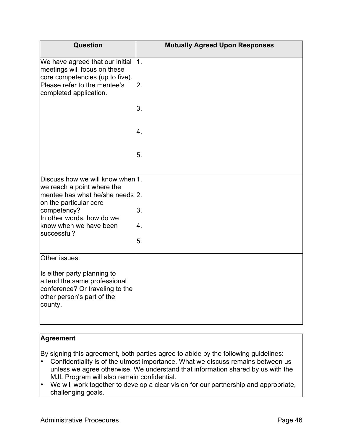| Question                                                                                                                                | <b>Mutually Agreed Upon Responses</b> |
|-----------------------------------------------------------------------------------------------------------------------------------------|---------------------------------------|
| We have agreed that our initial<br>meetings will focus on these<br>core competencies (up to five).                                      | $\vert$ 1.                            |
| Please refer to the mentee's<br>completed application.                                                                                  | 2.                                    |
|                                                                                                                                         | 3.                                    |
|                                                                                                                                         | 4.                                    |
|                                                                                                                                         | 5.                                    |
| Discuss how we will know when 1.                                                                                                        |                                       |
| we reach a point where the<br>mentee has what he/she needs 2.<br>on the particular core                                                 |                                       |
| competency?                                                                                                                             | 3.                                    |
| In other words, how do we<br>know when we have been                                                                                     | 4.                                    |
| successful?                                                                                                                             | 5.                                    |
|                                                                                                                                         |                                       |
| Other issues:                                                                                                                           |                                       |
| Is either party planning to<br>attend the same professional<br>conference? Or traveling to the<br>other person's part of the<br>county. |                                       |

# **Agreement**

By signing this agreement, both parties agree to abide by the following guidelines:

- Confidentiality is of the utmost importance. What we discuss remains between us unless we agree otherwise. We understand that information shared by us with the MJL Program will also remain confidential.
- We will work together to develop a clear vision for our partnership and appropriate, challenging goals.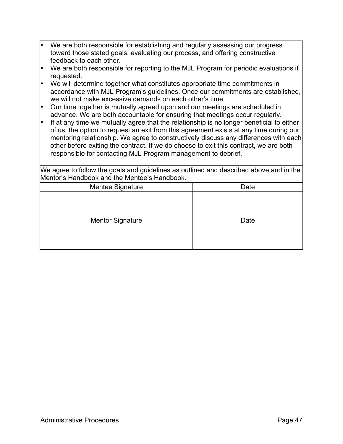| • We are both responsible for establishing and regularly assessing our progress |
|---------------------------------------------------------------------------------|
| toward those stated goals, evaluating our process, and offering constructive    |
| feedback to each other.                                                         |

- We are both responsible for reporting to the MJL Program for periodic evaluations if requested.
- We will determine together what constitutes appropriate time commitments in accordance with MJL Program's guidelines. Once our commitments are established, we will not make excessive demands on each other's time.
- Our time together is mutually agreed upon and our meetings are scheduled in advance. We are both accountable for ensuring that meetings occur regularly.
- If at any time we mutually agree that the relationship is no longer beneficial to either of us, the option to request an exit from this agreement exists at any time during our mentoring relationship. We agree to constructively discuss any differences with each other before exiting the contract. If we do choose to exit this contract, we are both responsible for contacting MJL Program management to debrief.

We agree to follow the goals and guidelines as outlined and described above and in the Mentor's Handbook and the Mentee's Handbook.

| Mentee Signature        | Date |
|-------------------------|------|
|                         |      |
|                         |      |
|                         |      |
| <b>Mentor Signature</b> | Date |
|                         |      |
|                         |      |
|                         |      |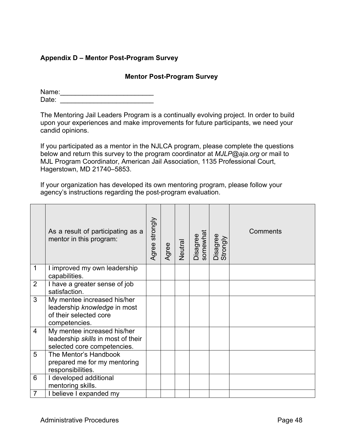# **Appendix D – Mentor Post-Program Survey**

#### **Mentor Post-Program Survey**

Name:\_\_\_\_\_\_\_\_\_\_\_\_\_\_\_\_\_\_\_\_\_\_\_\_\_ Date:  $\Box$ 

The Mentoring Jail Leaders Program is a continually evolving project. In order to build upon your experiences and make improvements for future participants, we need your candid opinions.

If you participated as a mentor in the NJLCA program, please complete the questions below and return this survey to the program coordinator at *MJLP@aja.org* or mail to MJL Program Coordinator, American Jail Association, 1135 Professional Court, Hagerstown, MD 21740–5853.

If your organization has developed its own mentoring program, please follow your agency's instructions regarding the post-program evaluation.

|                | As a result of participating as a<br>mentor in this program:                                           | Agree strongly | Agree | Neutral | Disagree<br>somewhat | Disagree<br>Strongly | Comments |
|----------------|--------------------------------------------------------------------------------------------------------|----------------|-------|---------|----------------------|----------------------|----------|
| $\mathbf 1$    | I improved my own leadership<br>capabilities.                                                          |                |       |         |                      |                      |          |
| $\overline{2}$ | I have a greater sense of job<br>satisfaction.                                                         |                |       |         |                      |                      |          |
| 3              | My mentee increased his/her<br>leadership knowledge in most<br>of their selected core<br>competencies. |                |       |         |                      |                      |          |
| $\overline{4}$ | My mentee increased his/her<br>leadership skills in most of their<br>selected core competencies.       |                |       |         |                      |                      |          |
| 5              | The Mentor's Handbook<br>prepared me for my mentoring<br>responsibilities.                             |                |       |         |                      |                      |          |
| 6              | I developed additional<br>mentoring skills.                                                            |                |       |         |                      |                      |          |
| 7              | I believe I expanded my                                                                                |                |       |         |                      |                      |          |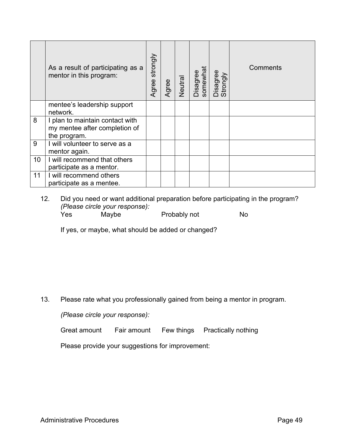|    | As a result of participating as a<br>mentor in this program:                     | strongly<br>Agree | Agree | Neutral | Disagree<br>somewhat | Disagree<br>Strongly | Comments |
|----|----------------------------------------------------------------------------------|-------------------|-------|---------|----------------------|----------------------|----------|
|    | mentee's leadership support<br>network.                                          |                   |       |         |                      |                      |          |
| 8  | I plan to maintain contact with<br>my mentee after completion of<br>the program. |                   |       |         |                      |                      |          |
| 9  | I will volunteer to serve as a<br>mentor again.                                  |                   |       |         |                      |                      |          |
| 10 | I will recommend that others<br>participate as a mentor.                         |                   |       |         |                      |                      |          |
| 11 | I will recommend others<br>participate as a mentee.                              |                   |       |         |                      |                      |          |

12. Did you need or want additional preparation before participating in the program? *(Please circle your response):* Yes Maybe Probably not No

If yes, or maybe, what should be added or changed?

13. Please rate what you professionally gained from being a mentor in program.

*(Please circle your response):*

Great amount Fair amount Few things Practically nothing

Please provide your suggestions for improvement: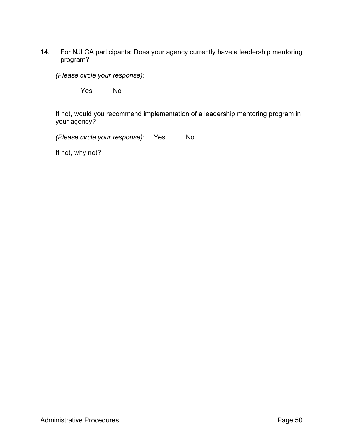14. For NJLCA participants: Does your agency currently have a leadership mentoring program?

*(Please circle your response):*

Yes No

If not, would you recommend implementation of a leadership mentoring program in your agency?

*(Please circle your response):* Yes No

If not, why not?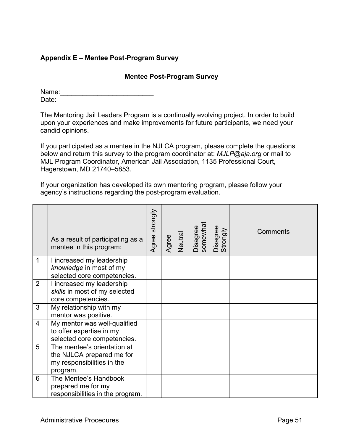# **Appendix E – Mentee Post-Program Survey**

## **Mentee Post-Program Survey**

Name:\_\_\_\_\_\_\_\_\_\_\_\_\_\_\_\_\_\_\_\_\_\_\_\_\_ Date:  $\Box$ 

The Mentoring Jail Leaders Program is a continually evolving project. In order to build upon your experiences and make improvements for future participants, we need your candid opinions.

If you participated as a mentee in the NJLCA program, please complete the questions below and return this survey to the program coordinator at: *MJLP@aja.org* or mail to MJL Program Coordinator, American Jail Association, 1135 Professional Court, Hagerstown, MD 21740–5853.

If your organization has developed its own mentoring program, please follow your agency's instructions regarding the post-program evaluation.

|                | As a result of participating as a<br>mentee in this program:                                       | Agree strongly | Agree | Neutral | somewhat<br>Disagree | Disagree<br>Strongly | Comments |
|----------------|----------------------------------------------------------------------------------------------------|----------------|-------|---------|----------------------|----------------------|----------|
| 1              | I increased my leadership<br>knowledge in most of my<br>selected core competencies.                |                |       |         |                      |                      |          |
| $\overline{2}$ | I increased my leadership<br>skills in most of my selected<br>core competencies.                   |                |       |         |                      |                      |          |
| 3              | My relationship with my<br>mentor was positive.                                                    |                |       |         |                      |                      |          |
| $\overline{4}$ | My mentor was well-qualified<br>to offer expertise in my<br>selected core competencies.            |                |       |         |                      |                      |          |
| 5              | The mentee's orientation at<br>the NJLCA prepared me for<br>my responsibilities in the<br>program. |                |       |         |                      |                      |          |
| 6              | The Mentee's Handbook<br>prepared me for my<br>responsibilities in the program.                    |                |       |         |                      |                      |          |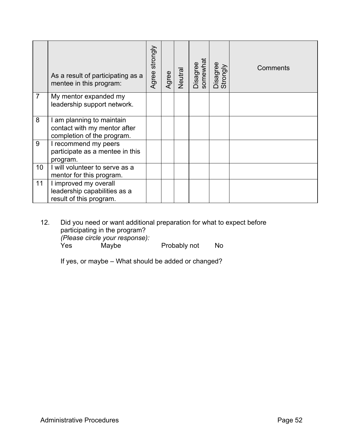|                | As a result of participating as a<br>mentee in this program:                            | Agree strongly | Agree | Neutral | somewhat<br>Disagree | Disagree<br>Strongly | Comments |
|----------------|-----------------------------------------------------------------------------------------|----------------|-------|---------|----------------------|----------------------|----------|
| $\overline{7}$ | My mentor expanded my<br>leadership support network.                                    |                |       |         |                      |                      |          |
| 8              | I am planning to maintain<br>contact with my mentor after<br>completion of the program. |                |       |         |                      |                      |          |
| 9              | I recommend my peers<br>participate as a mentee in this<br>program.                     |                |       |         |                      |                      |          |
| 10             | I will volunteer to serve as a<br>mentor for this program.                              |                |       |         |                      |                      |          |
| 11             | I improved my overall<br>leadership capabilities as a<br>result of this program.        |                |       |         |                      |                      |          |

12. Did you need or want additional preparation for what to expect before participating in the program? *(Please circle your response):* Yes Maybe Probably not No

If yes, or maybe – What should be added or changed?